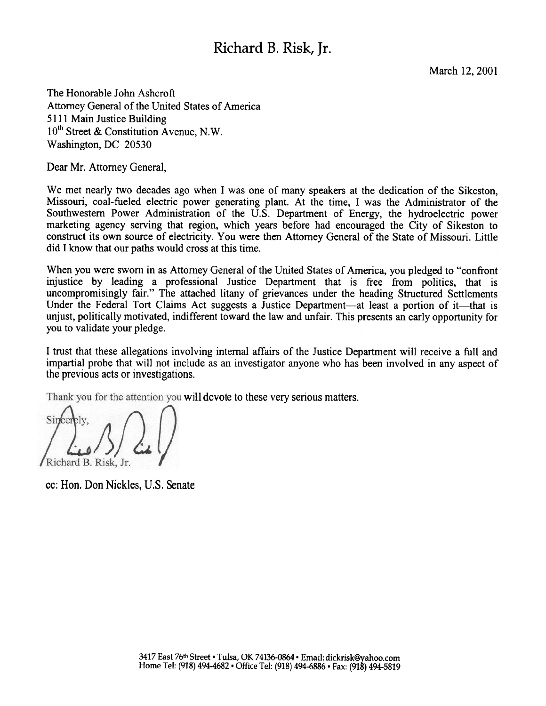# Richard B. Risk, Jr.

March 12, 2001

The Honorable John Ashcroft Attorney General of the United States of America 5111 Main Justice Building  $10^{th}$  Street & Constitution Avenue, N.W. Washington, DC 20530

Dear Mr. Attorney General,

We met nearly two decades ago when I was one of many speakers at the dedication of the Sikeston, Missouri, coal-fueled electric power generating plant. At the time, I was the Administrator of the Southwestern Power Administration of the U.S. Department of Energy, the hydroelectric power marketing agency serving that region, which years before had encouraged the City of Sikeston to construct its own source of electricity. You were then Attorney General of the State of Missouri. Little did I know that our paths would cross at this time.

When you were sworn in as Attorney General of the United States of America, you pledged to "confront injustice by leading a professional Justice Department that is free from politics, that is uncompromisingly fair." The attached litany of grievances under the heading Structured Settlements Under the Federal Tort Claims Act suggests a Justice Department—at least a portion of it—that is unjust, politically motivated, indifferent toward the law and unfair. This presents an early opportunity for you to validate your pledge.

I trust that these allegations involving internal affairs of the Justice Department will receive a full and impartial probe that will not include as an investigator anyone who has been involved in any aspect of the previous acts or investigations.

Thank you for the attention you will devote to these very serious matters.

Sincer Richard B. Risk. Jr.

cc: Hon. Don Nickles, U.S. S enate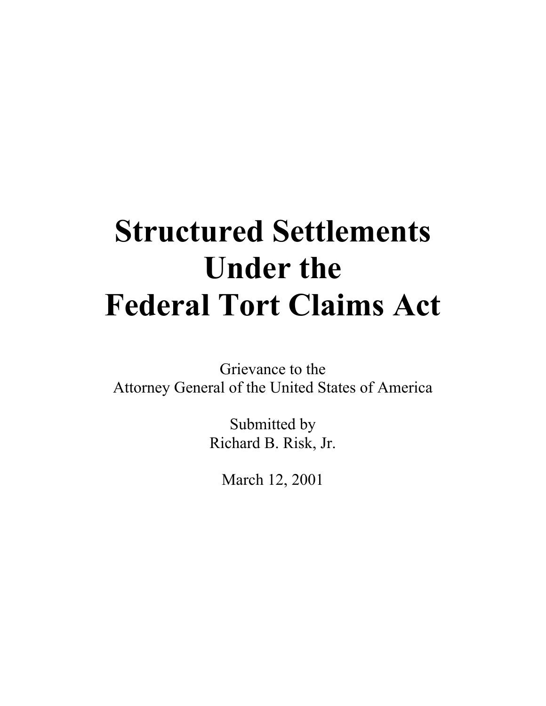# **Structured Settlements Under the Federal Tort Claims Act**

Grievance to the Attorney General of the United States of America

> Submitted by Richard B. Risk, Jr.

March 12, 2001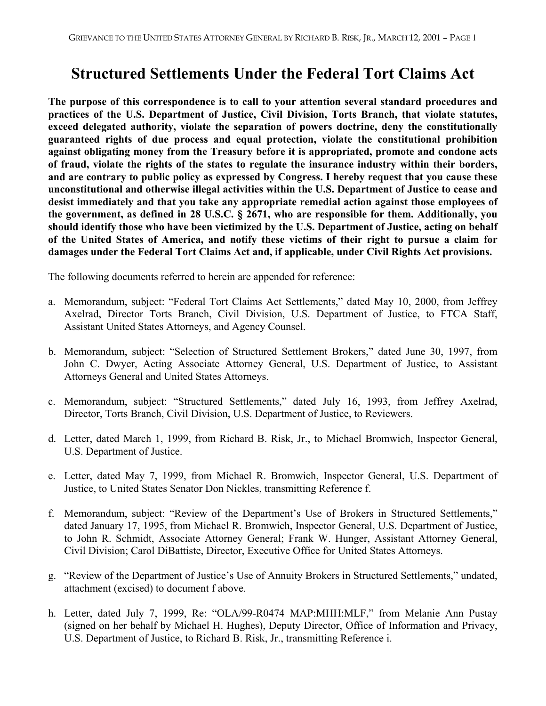# **Structured Settlements Under the Federal Tort Claims Act**

**The purpose of this correspondence is to call to your attention several standard procedures and practices of the U.S. Department of Justice, Civil Division, Torts Branch, that violate statutes, exceed delegated authority, violate the separation of powers doctrine, deny the constitutionally guaranteed rights of due process and equal protection, violate the constitutional prohibition against obligating money from the Treasury before it is appropriated, promote and condone acts of fraud, violate the rights of the states to regulate the insurance industry within their borders, and are contrary to public policy as expressed by Congress. I hereby request that you cause these unconstitutional and otherwise illegal activities within the U.S. Department of Justice to cease and desist immediately and that you take any appropriate remedial action against those employees of the government, as defined in 28 U.S.C. § 2671, who are responsible for them. Additionally, you should identify those who have been victimized by the U.S. Department of Justice, acting on behalf of the United States of America, and notify these victims of their right to pursue a claim for damages under the Federal Tort Claims Act and, if applicable, under Civil Rights Act provisions.**

The following documents referred to herein are appended for reference:

- a. Memorandum, subject: "Federal Tort Claims Act Settlements," dated May 10, 2000, from Jeffrey Axelrad, Director Torts Branch, Civil Division, U.S. Department of Justice, to FTCA Staff, Assistant United States Attorneys, and Agency Counsel.
- b. Memorandum, subject: "Selection of Structured Settlement Brokers," dated June 30, 1997, from John C. Dwyer, Acting Associate Attorney General, U.S. Department of Justice, to Assistant Attorneys General and United States Attorneys.
- c. Memorandum, subject: "Structured Settlements," dated July 16, 1993, from Jeffrey Axelrad, Director, Torts Branch, Civil Division, U.S. Department of Justice, to Reviewers.
- d. Letter, dated March 1, 1999, from Richard B. Risk, Jr., to Michael Bromwich, Inspector General, U.S. Department of Justice.
- e. Letter, dated May 7, 1999, from Michael R. Bromwich, Inspector General, U.S. Department of Justice, to United States Senator Don Nickles, transmitting Reference f.
- f. Memorandum, subject: "Review of the Department's Use of Brokers in Structured Settlements," dated January 17, 1995, from Michael R. Bromwich, Inspector General, U.S. Department of Justice, to John R. Schmidt, Associate Attorney General; Frank W. Hunger, Assistant Attorney General, Civil Division; Carol DiBattiste, Director, Executive Office for United States Attorneys.
- g. "Review of the Department of Justice's Use of Annuity Brokers in Structured Settlements," undated, attachment (excised) to document f above.
- h. Letter, dated July 7, 1999, Re: "OLA/99-R0474 MAP:MHH:MLF," from Melanie Ann Pustay (signed on her behalf by Michael H. Hughes), Deputy Director, Office of Information and Privacy, U.S. Department of Justice, to Richard B. Risk, Jr., transmitting Reference i.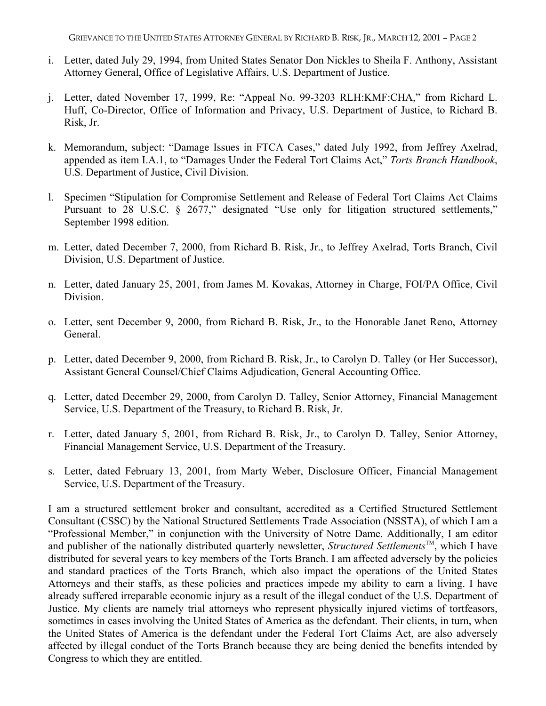GRIEVANCE TO THE UNITED STATES ATTORNEY GENERAL BY RICHARD B. RISK, JR., MARCH 12, 2001 – PAGE 2

- i. Letter, dated July 29, 1994, from United States Senator Don Nickles to Sheila F. Anthony, Assistant Attorney General, Office of Legislative Affairs, U.S. Department of Justice.
- j. Letter, dated November 17, 1999, Re: "Appeal No. 99-3203 RLH:KMF:CHA," from Richard L. Huff, Co-Director, Office of Information and Privacy, U.S. Department of Justice, to Richard B. Risk, Jr.
- k. Memorandum, subject: "Damage Issues in FTCA Cases," dated July 1992, from Jeffrey Axelrad, appended as item I.A.1, to "Damages Under the Federal Tort Claims Act," *Torts Branch Handbook*, U.S. Department of Justice, Civil Division.
- l. Specimen "Stipulation for Compromise Settlement and Release of Federal Tort Claims Act Claims Pursuant to 28 U.S.C. § 2677," designated "Use only for litigation structured settlements," September 1998 edition.
- m. Letter, dated December 7, 2000, from Richard B. Risk, Jr., to Jeffrey Axelrad, Torts Branch, Civil Division, U.S. Department of Justice.
- n. Letter, dated January 25, 2001, from James M. Kovakas, Attorney in Charge, FOI/PA Office, Civil Division.
- o. Letter, sent December 9, 2000, from Richard B. Risk, Jr., to the Honorable Janet Reno, Attorney General.
- p. Letter, dated December 9, 2000, from Richard B. Risk, Jr., to Carolyn D. Talley (or Her Successor), Assistant General Counsel/Chief Claims Adjudication, General Accounting Office.
- q. Letter, dated December 29, 2000, from Carolyn D. Talley, Senior Attorney, Financial Management Service, U.S. Department of the Treasury, to Richard B. Risk, Jr.
- r. Letter, dated January 5, 2001, from Richard B. Risk, Jr., to Carolyn D. Talley, Senior Attorney, Financial Management Service, U.S. Department of the Treasury.
- s. Letter, dated February 13, 2001, from Marty Weber, Disclosure Officer, Financial Management Service, U.S. Department of the Treasury.

I am a structured settlement broker and consultant, accredited as a Certified Structured Settlement Consultant (CSSC) by the National Structured Settlements Trade Association (NSSTA), of which I am a "Professional Member," in conjunction with the University of Notre Dame. Additionally, I am editor and publisher of the nationally distributed quarterly newsletter, *Structured Settlements*<sup>TM</sup>, which I have distributed for several years to key members of the Torts Branch. I am affected adversely by the policies and standard practices of the Torts Branch, which also impact the operations of the United States Attorneys and their staffs, as these policies and practices impede my ability to earn a living. I have already suffered irreparable economic injury as a result of the illegal conduct of the U.S. Department of Justice. My clients are namely trial attorneys who represent physically injured victims of tortfeasors, sometimes in cases involving the United States of America as the defendant. Their clients, in turn, when the United States of America is the defendant under the Federal Tort Claims Act, are also adversely affected by illegal conduct of the Torts Branch because they are being denied the benefits intended by Congress to which they are entitled.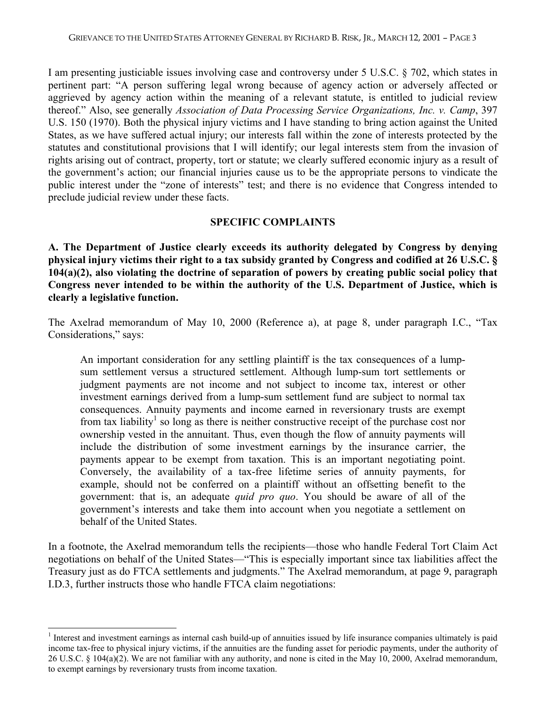I am presenting justiciable issues involving case and controversy under 5 U.S.C. § 702, which states in pertinent part: "A person suffering legal wrong because of agency action or adversely affected or aggrieved by agency action within the meaning of a relevant statute, is entitled to judicial review thereof." Also, see generally *Association of Data Processing Service Organizations, Inc. v. Camp*, 397 U.S. 150 (1970). Both the physical injury victims and I have standing to bring action against the United States, as we have suffered actual injury; our interests fall within the zone of interests protected by the statutes and constitutional provisions that I will identify; our legal interests stem from the invasion of rights arising out of contract, property, tort or statute; we clearly suffered economic injury as a result of the government's action; our financial injuries cause us to be the appropriate persons to vindicate the public interest under the "zone of interests" test; and there is no evidence that Congress intended to preclude judicial review under these facts.

#### **SPECIFIC COMPLAINTS**

**A. The Department of Justice clearly exceeds its authority delegated by Congress by denying physical injury victims their right to a tax subsidy granted by Congress and codified at 26 U.S.C. § 104(a)(2), also violating the doctrine of separation of powers by creating public social policy that Congress never intended to be within the authority of the U.S. Department of Justice, which is clearly a legislative function.**

The Axelrad memorandum of May 10, 2000 (Reference a), at page 8, under paragraph I.C., "Tax Considerations," says:

An important consideration for any settling plaintiff is the tax consequences of a lumpsum settlement versus a structured settlement. Although lump-sum tort settlements or judgment payments are not income and not subject to income tax, interest or other investment earnings derived from a lump-sum settlement fund are subject to normal tax consequences. Annuity payments and income earned in reversionary trusts are exempt from tax liability<sup>1</sup> so long as there is neither constructive receipt of the purchase cost nor ownership vested in the annuitant. Thus, even though the flow of annuity payments will include the distribution of some investment earnings by the insurance carrier, the payments appear to be exempt from taxation. This is an important negotiating point. Conversely, the availability of a tax-free lifetime series of annuity payments, for example, should not be conferred on a plaintiff without an offsetting benefit to the government: that is, an adequate *quid pro quo*. You should be aware of all of the government's interests and take them into account when you negotiate a settlement on behalf of the United States.

In a footnote, the Axelrad memorandum tells the recipients—those who handle Federal Tort Claim Act negotiations on behalf of the United States—"This is especially important since tax liabilities affect the Treasury just as do FTCA settlements and judgments." The Axelrad memorandum, at page 9, paragraph I.D.3, further instructs those who handle FTCA claim negotiations:

 $\overline{a}$ 

<sup>1</sup> Interest and investment earnings as internal cash build-up of annuities issued by life insurance companies ultimately is paid income tax-free to physical injury victims, if the annuities are the funding asset for periodic payments, under the authority of 26 U.S.C. § 104(a)(2). We are not familiar with any authority, and none is cited in the May 10, 2000, Axelrad memorandum, to exempt earnings by reversionary trusts from income taxation.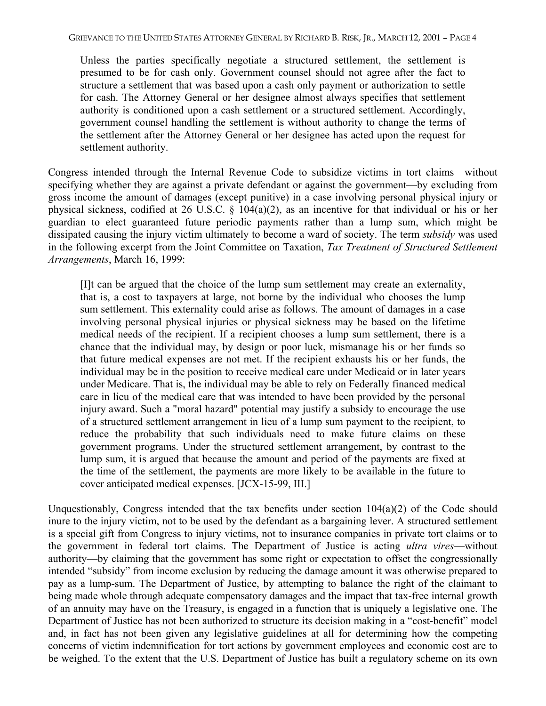Unless the parties specifically negotiate a structured settlement, the settlement is presumed to be for cash only. Government counsel should not agree after the fact to structure a settlement that was based upon a cash only payment or authorization to settle for cash. The Attorney General or her designee almost always specifies that settlement authority is conditioned upon a cash settlement or a structured settlement. Accordingly, government counsel handling the settlement is without authority to change the terms of the settlement after the Attorney General or her designee has acted upon the request for settlement authority.

Congress intended through the Internal Revenue Code to subsidize victims in tort claims—without specifying whether they are against a private defendant or against the government—by excluding from gross income the amount of damages (except punitive) in a case involving personal physical injury or physical sickness, codified at 26 U.S.C.  $\S$  104(a)(2), as an incentive for that individual or his or her guardian to elect guaranteed future periodic payments rather than a lump sum, which might be dissipated causing the injury victim ultimately to become a ward of society. The term *subsidy* was used in the following excerpt from the Joint Committee on Taxation, *Tax Treatment of Structured Settlement Arrangements*, March 16, 1999:

[I]t can be argued that the choice of the lump sum settlement may create an externality, that is, a cost to taxpayers at large, not borne by the individual who chooses the lump sum settlement. This externality could arise as follows. The amount of damages in a case involving personal physical injuries or physical sickness may be based on the lifetime medical needs of the recipient. If a recipient chooses a lump sum settlement, there is a chance that the individual may, by design or poor luck, mismanage his or her funds so that future medical expenses are not met. If the recipient exhausts his or her funds, the individual may be in the position to receive medical care under Medicaid or in later years under Medicare. That is, the individual may be able to rely on Federally financed medical care in lieu of the medical care that was intended to have been provided by the personal injury award. Such a "moral hazard" potential may justify a subsidy to encourage the use of a structured settlement arrangement in lieu of a lump sum payment to the recipient, to reduce the probability that such individuals need to make future claims on these government programs. Under the structured settlement arrangement, by contrast to the lump sum, it is argued that because the amount and period of the payments are fixed at the time of the settlement, the payments are more likely to be available in the future to cover anticipated medical expenses. [JCX-15-99, III.]

Unquestionably, Congress intended that the tax benefits under section 104(a)(2) of the Code should inure to the injury victim, not to be used by the defendant as a bargaining lever. A structured settlement is a special gift from Congress to injury victims, not to insurance companies in private tort claims or to the government in federal tort claims. The Department of Justice is acting *ultra vires*—without authority—by claiming that the government has some right or expectation to offset the congressionally intended "subsidy" from income exclusion by reducing the damage amount it was otherwise prepared to pay as a lump-sum. The Department of Justice, by attempting to balance the right of the claimant to being made whole through adequate compensatory damages and the impact that tax-free internal growth of an annuity may have on the Treasury, is engaged in a function that is uniquely a legislative one. The Department of Justice has not been authorized to structure its decision making in a "cost-benefit" model and, in fact has not been given any legislative guidelines at all for determining how the competing concerns of victim indemnification for tort actions by government employees and economic cost are to be weighed. To the extent that the U.S. Department of Justice has built a regulatory scheme on its own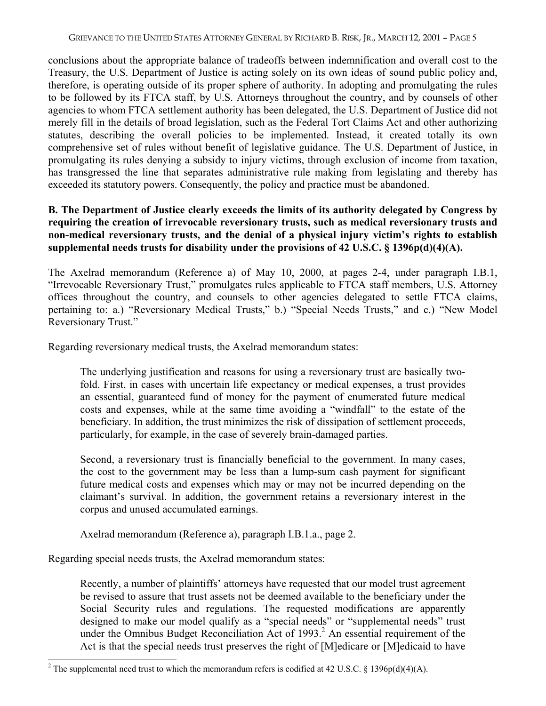conclusions about the appropriate balance of tradeoffs between indemnification and overall cost to the Treasury, the U.S. Department of Justice is acting solely on its own ideas of sound public policy and, therefore, is operating outside of its proper sphere of authority. In adopting and promulgating the rules to be followed by its FTCA staff, by U.S. Attorneys throughout the country, and by counsels of other agencies to whom FTCA settlement authority has been delegated, the U.S. Department of Justice did not merely fill in the details of broad legislation, such as the Federal Tort Claims Act and other authorizing statutes, describing the overall policies to be implemented. Instead, it created totally its own comprehensive set of rules without benefit of legislative guidance. The U.S. Department of Justice, in promulgating its rules denying a subsidy to injury victims, through exclusion of income from taxation, has transgressed the line that separates administrative rule making from legislating and thereby has exceeded its statutory powers. Consequently, the policy and practice must be abandoned.

## **B. The Department of Justice clearly exceeds the limits of its authority delegated by Congress by requiring the creation of irrevocable reversionary trusts, such as medical reversionary trusts and non-medical reversionary trusts, and the denial of a physical injury victim's rights to establish supplemental needs trusts for disability under the provisions of 42 U.S.C. § 1396p(d)(4)(A).**

The Axelrad memorandum (Reference a) of May 10, 2000, at pages 2-4, under paragraph I.B.1, "Irrevocable Reversionary Trust," promulgates rules applicable to FTCA staff members, U.S. Attorney offices throughout the country, and counsels to other agencies delegated to settle FTCA claims, pertaining to: a.) "Reversionary Medical Trusts," b.) "Special Needs Trusts," and c.) "New Model Reversionary Trust."

Regarding reversionary medical trusts, the Axelrad memorandum states:

The underlying justification and reasons for using a reversionary trust are basically twofold. First, in cases with uncertain life expectancy or medical expenses, a trust provides an essential, guaranteed fund of money for the payment of enumerated future medical costs and expenses, while at the same time avoiding a "windfall" to the estate of the beneficiary. In addition, the trust minimizes the risk of dissipation of settlement proceeds, particularly, for example, in the case of severely brain-damaged parties.

Second, a reversionary trust is financially beneficial to the government. In many cases, the cost to the government may be less than a lump-sum cash payment for significant future medical costs and expenses which may or may not be incurred depending on the claimant's survival. In addition, the government retains a reversionary interest in the corpus and unused accumulated earnings.

Axelrad memorandum (Reference a), paragraph I.B.1.a., page 2.

Regarding special needs trusts, the Axelrad memorandum states:

 $\overline{a}$ 

Recently, a number of plaintiffs' attorneys have requested that our model trust agreement be revised to assure that trust assets not be deemed available to the beneficiary under the Social Security rules and regulations. The requested modifications are apparently designed to make our model qualify as a "special needs" or "supplemental needs" trust under the Omnibus Budget Reconciliation Act of 1993.<sup>2</sup> An essential requirement of the Act is that the special needs trust preserves the right of [M]edicare or [M]edicaid to have

<sup>&</sup>lt;sup>2</sup> The supplemental need trust to which the memorandum refers is codified at 42 U.S.C. § 1396p(d)(4)(A).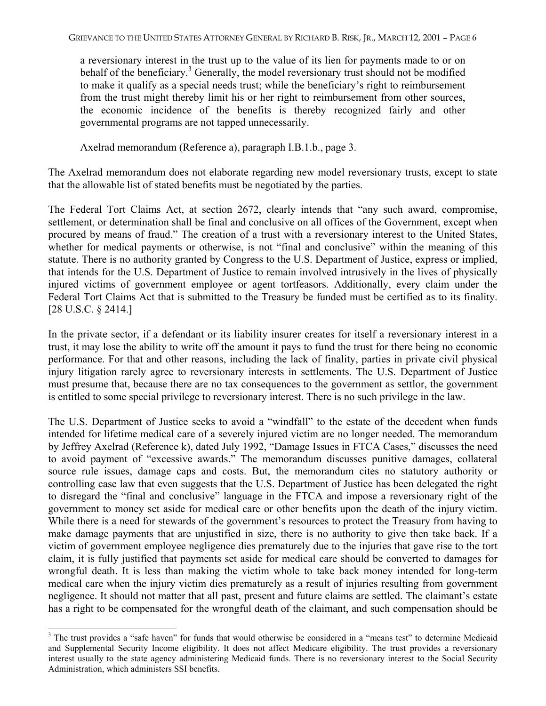a reversionary interest in the trust up to the value of its lien for payments made to or on behalf of the beneficiary.<sup>3</sup> Generally, the model reversionary trust should not be modified to make it qualify as a special needs trust; while the beneficiary's right to reimbursement from the trust might thereby limit his or her right to reimbursement from other sources, the economic incidence of the benefits is thereby recognized fairly and other governmental programs are not tapped unnecessarily.

Axelrad memorandum (Reference a), paragraph I.B.1.b., page 3.

The Axelrad memorandum does not elaborate regarding new model reversionary trusts, except to state that the allowable list of stated benefits must be negotiated by the parties.

The Federal Tort Claims Act, at section 2672, clearly intends that "any such award, compromise, settlement, or determination shall be final and conclusive on all offices of the Government, except when procured by means of fraud." The creation of a trust with a reversionary interest to the United States, whether for medical payments or otherwise, is not "final and conclusive" within the meaning of this statute. There is no authority granted by Congress to the U.S. Department of Justice, express or implied, that intends for the U.S. Department of Justice to remain involved intrusively in the lives of physically injured victims of government employee or agent tortfeasors. Additionally, every claim under the Federal Tort Claims Act that is submitted to the Treasury be funded must be certified as to its finality. [28 U.S.C. § 2414.]

In the private sector, if a defendant or its liability insurer creates for itself a reversionary interest in a trust, it may lose the ability to write off the amount it pays to fund the trust for there being no economic performance. For that and other reasons, including the lack of finality, parties in private civil physical injury litigation rarely agree to reversionary interests in settlements. The U.S. Department of Justice must presume that, because there are no tax consequences to the government as settlor, the government is entitled to some special privilege to reversionary interest. There is no such privilege in the law.

The U.S. Department of Justice seeks to avoid a "windfall" to the estate of the decedent when funds intended for lifetime medical care of a severely injured victim are no longer needed. The memorandum by Jeffrey Axelrad (Reference k), dated July 1992, "Damage Issues in FTCA Cases," discusses the need to avoid payment of "excessive awards." The memorandum discusses punitive damages, collateral source rule issues, damage caps and costs. But, the memorandum cites no statutory authority or controlling case law that even suggests that the U.S. Department of Justice has been delegated the right to disregard the "final and conclusive" language in the FTCA and impose a reversionary right of the government to money set aside for medical care or other benefits upon the death of the injury victim. While there is a need for stewards of the government's resources to protect the Treasury from having to make damage payments that are unjustified in size, there is no authority to give then take back. If a victim of government employee negligence dies prematurely due to the injuries that gave rise to the tort claim, it is fully justified that payments set aside for medical care should be converted to damages for wrongful death. It is less than making the victim whole to take back money intended for long-term medical care when the injury victim dies prematurely as a result of injuries resulting from government negligence. It should not matter that all past, present and future claims are settled. The claimant's estate has a right to be compensated for the wrongful death of the claimant, and such compensation should be

 $\overline{a}$ 

<sup>&</sup>lt;sup>3</sup> The trust provides a "safe haven" for funds that would otherwise be considered in a "means test" to determine Medicaid and Supplemental Security Income eligibility. It does not affect Medicare eligibility. The trust provides a reversionary interest usually to the state agency administering Medicaid funds. There is no reversionary interest to the Social Security Administration, which administers SSI benefits.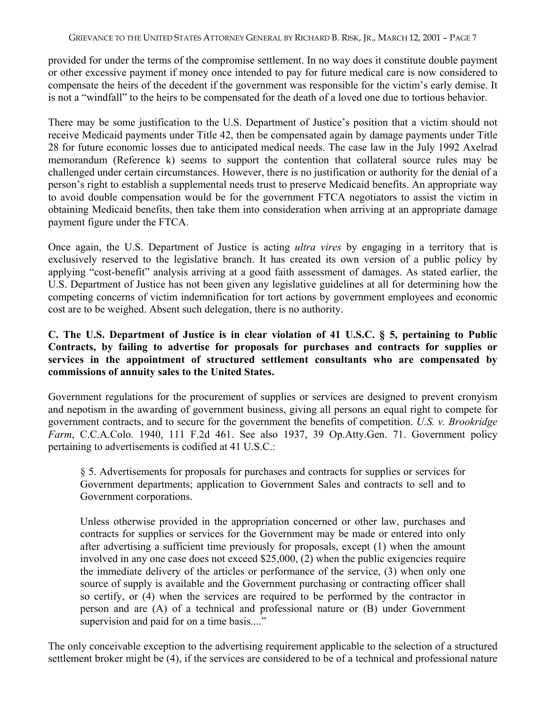provided for under the terms of the compromise settlement. In no way does it constitute double payment or other excessive payment if money once intended to pay for future medical care is now considered to compensate the heirs of the decedent if the government was responsible for the victim's early demise. It is not a "windfall" to the heirs to be compensated for the death of a loved one due to tortious behavior.

There may be some justification to the U.S. Department of Justice's position that a victim should not receive Medicaid payments under Title 42, then be compensated again by damage payments under Title 28 for future economic losses due to anticipated medical needs. The case law in the July 1992 Axelrad memorandum (Reference k) seems to support the contention that collateral source rules may be challenged under certain circumstances. However, there is no justification or authority for the denial of a person's right to establish a supplemental needs trust to preserve Medicaid benefits. An appropriate way to avoid double compensation would be for the government FTCA negotiators to assist the victim in obtaining Medicaid benefits, then take them into consideration when arriving at an appropriate damage payment figure under the FTCA.

Once again, the U.S. Department of Justice is acting *ultra vires* by engaging in a territory that is exclusively reserved to the legislative branch. It has created its own version of a public policy by applying "cost-benefit" analysis arriving at a good faith assessment of damages. As stated earlier, the U.S. Department of Justice has not been given any legislative guidelines at all for determining how the competing concerns of victim indemnification for tort actions by government employees and economic cost are to be weighed. Absent such delegation, there is no authority.

## **C. The U.S. Department of Justice is in clear violation of 41 U.S.C. § 5, pertaining to Public Contracts, by failing to advertise for proposals for purchases and contracts for supplies or services in the appointment of structured settlement consultants who are compensated by commissions of annuity sales to the United States.**

Government regulations for the procurement of supplies or services are designed to prevent cronyism and nepotism in the awarding of government business, giving all persons an equal right to compete for government contracts, and to secure for the government the benefits of competition. *U.S. v. Brookridge Farm*, C.C.A.Colo. 1940, 111 F.2d 461. See also 1937, 39 Op.Atty.Gen. 71. Government policy pertaining to advertisements is codified at 41 U.S.C.:

§ 5. Advertisements for proposals for purchases and contracts for supplies or services for Government departments; application to Government Sales and contracts to sell and to Government corporations.

Unless otherwise provided in the appropriation concerned or other law, purchases and contracts for supplies or services for the Government may be made or entered into only after advertising a sufficient time previously for proposals, except (1) when the amount involved in any one case does not exceed  $$25,000, (2)$  when the public exigencies require the immediate delivery of the articles or performance of the service, (3) when only one source of supply is available and the Government purchasing or contracting officer shall so certify, or (4) when the services are required to be performed by the contractor in person and are (A) of a technical and professional nature or (B) under Government supervision and paid for on a time basis...."

The only conceivable exception to the advertising requirement applicable to the selection of a structured settlement broker might be (4), if the services are considered to be of a technical and professional nature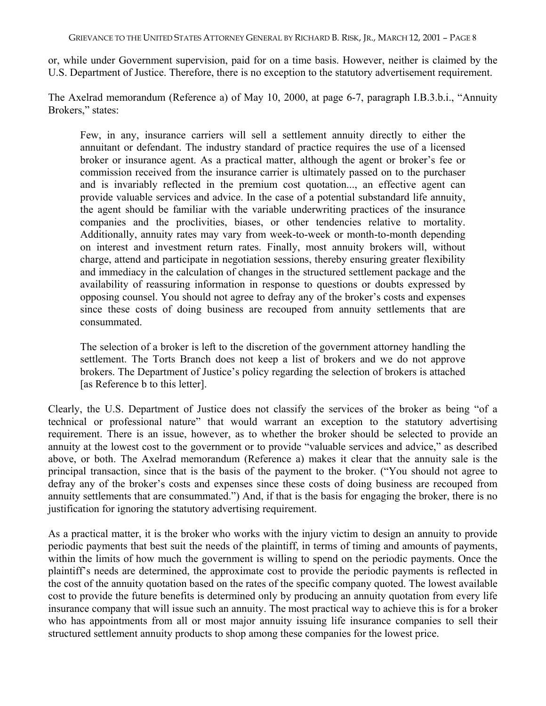or, while under Government supervision, paid for on a time basis. However, neither is claimed by the U.S. Department of Justice. Therefore, there is no exception to the statutory advertisement requirement.

The Axelrad memorandum (Reference a) of May 10, 2000, at page 6-7, paragraph I.B.3.b.i., "Annuity Brokers," states:

Few, in any, insurance carriers will sell a settlement annuity directly to either the annuitant or defendant. The industry standard of practice requires the use of a licensed broker or insurance agent. As a practical matter, although the agent or broker's fee or commission received from the insurance carrier is ultimately passed on to the purchaser and is invariably reflected in the premium cost quotation..., an effective agent can provide valuable services and advice. In the case of a potential substandard life annuity, the agent should be familiar with the variable underwriting practices of the insurance companies and the proclivities, biases, or other tendencies relative to mortality. Additionally, annuity rates may vary from week-to-week or month-to-month depending on interest and investment return rates. Finally, most annuity brokers will, without charge, attend and participate in negotiation sessions, thereby ensuring greater flexibility and immediacy in the calculation of changes in the structured settlement package and the availability of reassuring information in response to questions or doubts expressed by opposing counsel. You should not agree to defray any of the broker's costs and expenses since these costs of doing business are recouped from annuity settlements that are consummated.

The selection of a broker is left to the discretion of the government attorney handling the settlement. The Torts Branch does not keep a list of brokers and we do not approve brokers. The Department of Justice's policy regarding the selection of brokers is attached [as Reference b to this letter].

Clearly, the U.S. Department of Justice does not classify the services of the broker as being "of a technical or professional nature" that would warrant an exception to the statutory advertising requirement. There is an issue, however, as to whether the broker should be selected to provide an annuity at the lowest cost to the government or to provide "valuable services and advice," as described above, or both. The Axelrad memorandum (Reference a) makes it clear that the annuity sale is the principal transaction, since that is the basis of the payment to the broker. ("You should not agree to defray any of the broker's costs and expenses since these costs of doing business are recouped from annuity settlements that are consummated.") And, if that is the basis for engaging the broker, there is no justification for ignoring the statutory advertising requirement.

As a practical matter, it is the broker who works with the injury victim to design an annuity to provide periodic payments that best suit the needs of the plaintiff, in terms of timing and amounts of payments, within the limits of how much the government is willing to spend on the periodic payments. Once the plaintiff's needs are determined, the approximate cost to provide the periodic payments is reflected in the cost of the annuity quotation based on the rates of the specific company quoted. The lowest available cost to provide the future benefits is determined only by producing an annuity quotation from every life insurance company that will issue such an annuity. The most practical way to achieve this is for a broker who has appointments from all or most major annuity issuing life insurance companies to sell their structured settlement annuity products to shop among these companies for the lowest price.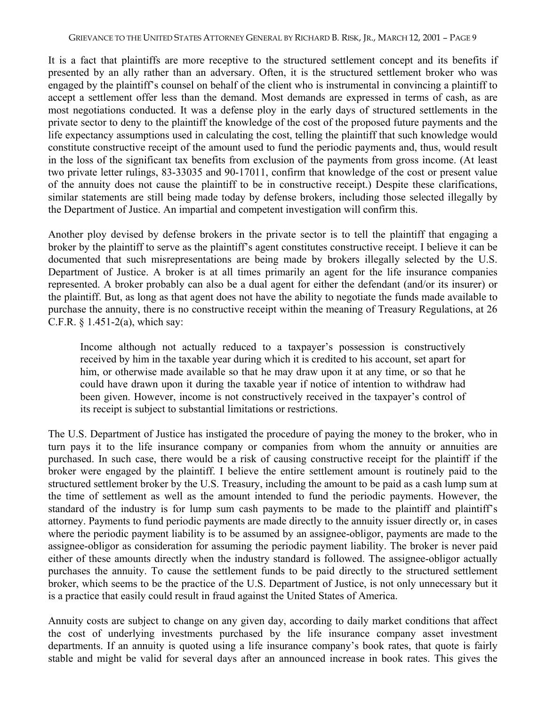It is a fact that plaintiffs are more receptive to the structured settlement concept and its benefits if presented by an ally rather than an adversary. Often, it is the structured settlement broker who was engaged by the plaintiff's counsel on behalf of the client who is instrumental in convincing a plaintiff to accept a settlement offer less than the demand. Most demands are expressed in terms of cash, as are most negotiations conducted. It was a defense ploy in the early days of structured settlements in the private sector to deny to the plaintiff the knowledge of the cost of the proposed future payments and the life expectancy assumptions used in calculating the cost, telling the plaintiff that such knowledge would constitute constructive receipt of the amount used to fund the periodic payments and, thus, would result in the loss of the significant tax benefits from exclusion of the payments from gross income. (At least two private letter rulings, 83-33035 and 90-17011, confirm that knowledge of the cost or present value of the annuity does not cause the plaintiff to be in constructive receipt.) Despite these clarifications, similar statements are still being made today by defense brokers, including those selected illegally by the Department of Justice. An impartial and competent investigation will confirm this.

Another ploy devised by defense brokers in the private sector is to tell the plaintiff that engaging a broker by the plaintiff to serve as the plaintiff's agent constitutes constructive receipt. I believe it can be documented that such misrepresentations are being made by brokers illegally selected by the U.S. Department of Justice. A broker is at all times primarily an agent for the life insurance companies represented. A broker probably can also be a dual agent for either the defendant (and/or its insurer) or the plaintiff. But, as long as that agent does not have the ability to negotiate the funds made available to purchase the annuity, there is no constructive receipt within the meaning of Treasury Regulations, at 26 C.F.R.  $§$  1.451-2(a), which say:

Income although not actually reduced to a taxpayer's possession is constructively received by him in the taxable year during which it is credited to his account, set apart for him, or otherwise made available so that he may draw upon it at any time, or so that he could have drawn upon it during the taxable year if notice of intention to withdraw had been given. However, income is not constructively received in the taxpayer's control of its receipt is subject to substantial limitations or restrictions.

The U.S. Department of Justice has instigated the procedure of paying the money to the broker, who in turn pays it to the life insurance company or companies from whom the annuity or annuities are purchased. In such case, there would be a risk of causing constructive receipt for the plaintiff if the broker were engaged by the plaintiff. I believe the entire settlement amount is routinely paid to the structured settlement broker by the U.S. Treasury, including the amount to be paid as a cash lump sum at the time of settlement as well as the amount intended to fund the periodic payments. However, the standard of the industry is for lump sum cash payments to be made to the plaintiff and plaintiff's attorney. Payments to fund periodic payments are made directly to the annuity issuer directly or, in cases where the periodic payment liability is to be assumed by an assignee-obligor, payments are made to the assignee-obligor as consideration for assuming the periodic payment liability. The broker is never paid either of these amounts directly when the industry standard is followed. The assignee-obligor actually purchases the annuity. To cause the settlement funds to be paid directly to the structured settlement broker, which seems to be the practice of the U.S. Department of Justice, is not only unnecessary but it is a practice that easily could result in fraud against the United States of America.

Annuity costs are subject to change on any given day, according to daily market conditions that affect the cost of underlying investments purchased by the life insurance company asset investment departments. If an annuity is quoted using a life insurance company's book rates, that quote is fairly stable and might be valid for several days after an announced increase in book rates. This gives the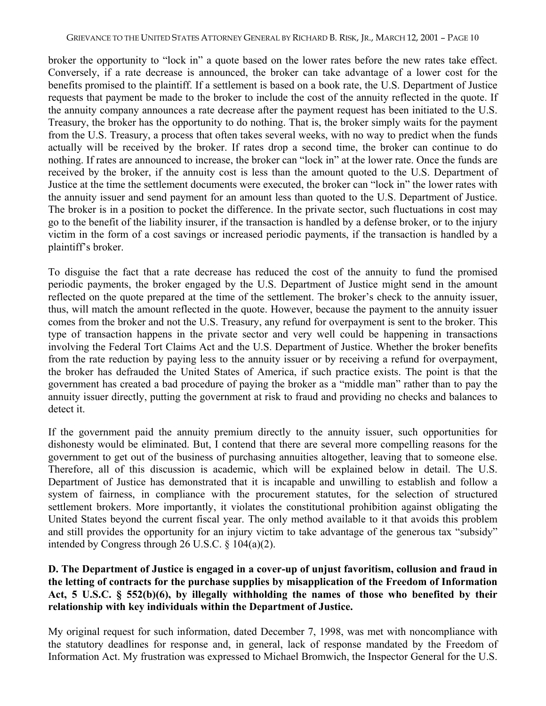broker the opportunity to "lock in" a quote based on the lower rates before the new rates take effect. Conversely, if a rate decrease is announced, the broker can take advantage of a lower cost for the benefits promised to the plaintiff. If a settlement is based on a book rate, the U.S. Department of Justice requests that payment be made to the broker to include the cost of the annuity reflected in the quote. If the annuity company announces a rate decrease after the payment request has been initiated to the U.S. Treasury, the broker has the opportunity to do nothing. That is, the broker simply waits for the payment from the U.S. Treasury, a process that often takes several weeks, with no way to predict when the funds actually will be received by the broker. If rates drop a second time, the broker can continue to do nothing. If rates are announced to increase, the broker can "lock in" at the lower rate. Once the funds are received by the broker, if the annuity cost is less than the amount quoted to the U.S. Department of Justice at the time the settlement documents were executed, the broker can "lock in" the lower rates with the annuity issuer and send payment for an amount less than quoted to the U.S. Department of Justice. The broker is in a position to pocket the difference. In the private sector, such fluctuations in cost may go to the benefit of the liability insurer, if the transaction is handled by a defense broker, or to the injury victim in the form of a cost savings or increased periodic payments, if the transaction is handled by a plaintiff's broker.

To disguise the fact that a rate decrease has reduced the cost of the annuity to fund the promised periodic payments, the broker engaged by the U.S. Department of Justice might send in the amount reflected on the quote prepared at the time of the settlement. The broker's check to the annuity issuer, thus, will match the amount reflected in the quote. However, because the payment to the annuity issuer comes from the broker and not the U.S. Treasury, any refund for overpayment is sent to the broker. This type of transaction happens in the private sector and very well could be happening in transactions involving the Federal Tort Claims Act and the U.S. Department of Justice. Whether the broker benefits from the rate reduction by paying less to the annuity issuer or by receiving a refund for overpayment, the broker has defrauded the United States of America, if such practice exists. The point is that the government has created a bad procedure of paying the broker as a "middle man" rather than to pay the annuity issuer directly, putting the government at risk to fraud and providing no checks and balances to detect it.

If the government paid the annuity premium directly to the annuity issuer, such opportunities for dishonesty would be eliminated. But, I contend that there are several more compelling reasons for the government to get out of the business of purchasing annuities altogether, leaving that to someone else. Therefore, all of this discussion is academic, which will be explained below in detail. The U.S. Department of Justice has demonstrated that it is incapable and unwilling to establish and follow a system of fairness, in compliance with the procurement statutes, for the selection of structured settlement brokers. More importantly, it violates the constitutional prohibition against obligating the United States beyond the current fiscal year. The only method available to it that avoids this problem and still provides the opportunity for an injury victim to take advantage of the generous tax "subsidy" intended by Congress through 26 U.S.C. § 104(a)(2).

#### **D. The Department of Justice is engaged in a cover-up of unjust favoritism, collusion and fraud in the letting of contracts for the purchase supplies by misapplication of the Freedom of Information Act, 5 U.S.C. § 552(b)(6), by illegally withholding the names of those who benefited by their relationship with key individuals within the Department of Justice.**

My original request for such information, dated December 7, 1998, was met with noncompliance with the statutory deadlines for response and, in general, lack of response mandated by the Freedom of Information Act. My frustration was expressed to Michael Bromwich, the Inspector General for the U.S.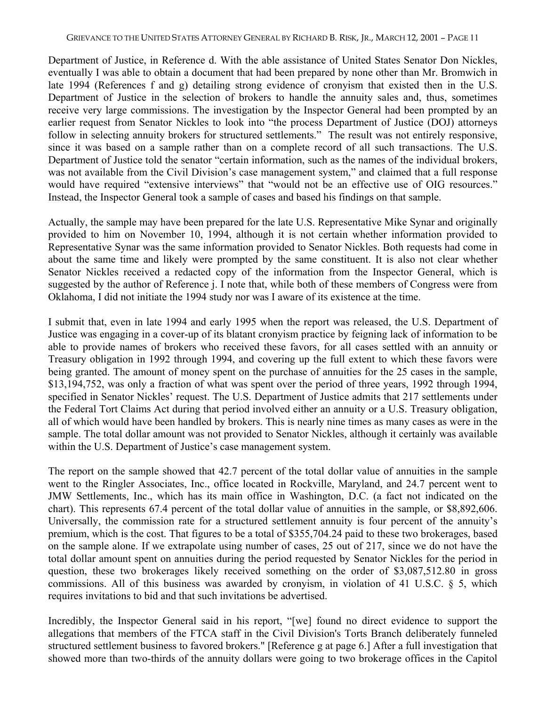Department of Justice, in Reference d. With the able assistance of United States Senator Don Nickles, eventually I was able to obtain a document that had been prepared by none other than Mr. Bromwich in late 1994 (References f and g) detailing strong evidence of cronyism that existed then in the U.S. Department of Justice in the selection of brokers to handle the annuity sales and, thus, sometimes receive very large commissions. The investigation by the Inspector General had been prompted by an earlier request from Senator Nickles to look into "the process Department of Justice (DOJ) attorneys follow in selecting annuity brokers for structured settlements." The result was not entirely responsive, since it was based on a sample rather than on a complete record of all such transactions. The U.S. Department of Justice told the senator "certain information, such as the names of the individual brokers, was not available from the Civil Division's case management system," and claimed that a full response would have required "extensive interviews" that "would not be an effective use of OIG resources." Instead, the Inspector General took a sample of cases and based his findings on that sample.

Actually, the sample may have been prepared for the late U.S. Representative Mike Synar and originally provided to him on November 10, 1994, although it is not certain whether information provided to Representative Synar was the same information provided to Senator Nickles. Both requests had come in about the same time and likely were prompted by the same constituent. It is also not clear whether Senator Nickles received a redacted copy of the information from the Inspector General, which is suggested by the author of Reference j. I note that, while both of these members of Congress were from Oklahoma, I did not initiate the 1994 study nor was I aware of its existence at the time.

I submit that, even in late 1994 and early 1995 when the report was released, the U.S. Department of Justice was engaging in a cover-up of its blatant cronyism practice by feigning lack of information to be able to provide names of brokers who received these favors, for all cases settled with an annuity or Treasury obligation in 1992 through 1994, and covering up the full extent to which these favors were being granted. The amount of money spent on the purchase of annuities for the 25 cases in the sample, \$13,194,752, was only a fraction of what was spent over the period of three years, 1992 through 1994, specified in Senator Nickles' request. The U.S. Department of Justice admits that 217 settlements under the Federal Tort Claims Act during that period involved either an annuity or a U.S. Treasury obligation, all of which would have been handled by brokers. This is nearly nine times as many cases as were in the sample. The total dollar amount was not provided to Senator Nickles, although it certainly was available within the U.S. Department of Justice's case management system.

The report on the sample showed that 42.7 percent of the total dollar value of annuities in the sample went to the Ringler Associates, Inc., office located in Rockville, Maryland, and 24.7 percent went to JMW Settlements, Inc., which has its main office in Washington, D.C. (a fact not indicated on the chart). This represents 67.4 percent of the total dollar value of annuities in the sample, or \$8,892,606. Universally, the commission rate for a structured settlement annuity is four percent of the annuity's premium, which is the cost. That figures to be a total of \$355,704.24 paid to these two brokerages, based on the sample alone. If we extrapolate using number of cases, 25 out of 217, since we do not have the total dollar amount spent on annuities during the period requested by Senator Nickles for the period in question, these two brokerages likely received something on the order of \$3,087,512.80 in gross commissions. All of this business was awarded by cronyism, in violation of 41 U.S.C. § 5, which requires invitations to bid and that such invitations be advertised.

Incredibly, the Inspector General said in his report, "[we] found no direct evidence to support the allegations that members of the FTCA staff in the Civil Division's Torts Branch deliberately funneled structured settlement business to favored brokers." [Reference g at page 6.] After a full investigation that showed more than two-thirds of the annuity dollars were going to two brokerage offices in the Capitol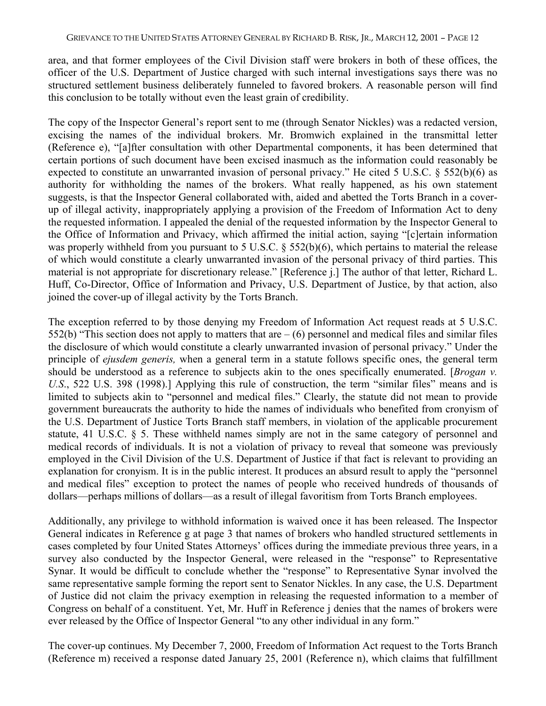area, and that former employees of the Civil Division staff were brokers in both of these offices, the officer of the U.S. Department of Justice charged with such internal investigations says there was no structured settlement business deliberately funneled to favored brokers. A reasonable person will find this conclusion to be totally without even the least grain of credibility.

The copy of the Inspector General's report sent to me (through Senator Nickles) was a redacted version, excising the names of the individual brokers. Mr. Bromwich explained in the transmittal letter (Reference e), "[a]fter consultation with other Departmental components, it has been determined that certain portions of such document have been excised inasmuch as the information could reasonably be expected to constitute an unwarranted invasion of personal privacy." He cited 5 U.S.C. § 552(b)(6) as authority for withholding the names of the brokers. What really happened, as his own statement suggests, is that the Inspector General collaborated with, aided and abetted the Torts Branch in a coverup of illegal activity, inappropriately applying a provision of the Freedom of Information Act to deny the requested information. I appealed the denial of the requested information by the Inspector General to the Office of Information and Privacy, which affirmed the initial action, saying "[c]ertain information was properly withheld from you pursuant to 5 U.S.C. § 552(b)(6), which pertains to material the release of which would constitute a clearly unwarranted invasion of the personal privacy of third parties. This material is not appropriate for discretionary release." [Reference j.] The author of that letter, Richard L. Huff, Co-Director, Office of Information and Privacy, U.S. Department of Justice, by that action, also joined the cover-up of illegal activity by the Torts Branch.

The exception referred to by those denying my Freedom of Information Act request reads at 5 U.S.C. 552(b) "This section does not apply to matters that are  $-$  (6) personnel and medical files and similar files the disclosure of which would constitute a clearly unwarranted invasion of personal privacy." Under the principle of *ejusdem generis,* when a general term in a statute follows specific ones, the general term should be understood as a reference to subjects akin to the ones specifically enumerated. [*Brogan v. U.S*., 522 U.S. 398 (1998).] Applying this rule of construction, the term "similar files" means and is limited to subjects akin to "personnel and medical files." Clearly, the statute did not mean to provide government bureaucrats the authority to hide the names of individuals who benefited from cronyism of the U.S. Department of Justice Torts Branch staff members, in violation of the applicable procurement statute, 41 U.S.C. § 5. These withheld names simply are not in the same category of personnel and medical records of individuals. It is not a violation of privacy to reveal that someone was previously employed in the Civil Division of the U.S. Department of Justice if that fact is relevant to providing an explanation for cronyism. It is in the public interest. It produces an absurd result to apply the "personnel and medical files" exception to protect the names of people who received hundreds of thousands of dollars—perhaps millions of dollars—as a result of illegal favoritism from Torts Branch employees.

Additionally, any privilege to withhold information is waived once it has been released. The Inspector General indicates in Reference g at page 3 that names of brokers who handled structured settlements in cases completed by four United States Attorneys' offices during the immediate previous three years, in a survey also conducted by the Inspector General, were released in the "response" to Representative Synar. It would be difficult to conclude whether the "response" to Representative Synar involved the same representative sample forming the report sent to Senator Nickles. In any case, the U.S. Department of Justice did not claim the privacy exemption in releasing the requested information to a member of Congress on behalf of a constituent. Yet, Mr. Huff in Reference j denies that the names of brokers were ever released by the Office of Inspector General "to any other individual in any form."

The cover-up continues. My December 7, 2000, Freedom of Information Act request to the Torts Branch (Reference m) received a response dated January 25, 2001 (Reference n), which claims that fulfillment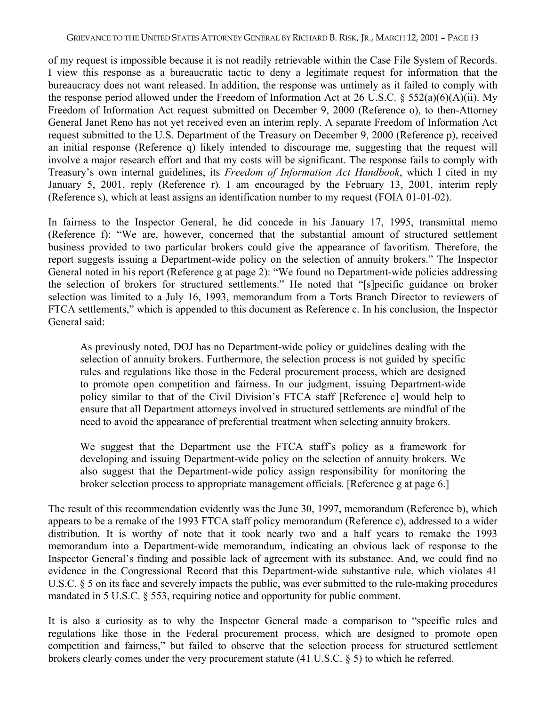of my request is impossible because it is not readily retrievable within the Case File System of Records. I view this response as a bureaucratic tactic to deny a legitimate request for information that the bureaucracy does not want released. In addition, the response was untimely as it failed to comply with the response period allowed under the Freedom of Information Act at 26 U.S.C. § 552(a)(6)(A)(ii). My Freedom of Information Act request submitted on December 9, 2000 (Reference o), to then-Attorney General Janet Reno has not yet received even an interim reply. A separate Freedom of Information Act request submitted to the U.S. Department of the Treasury on December 9, 2000 (Reference p), received an initial response (Reference q) likely intended to discourage me, suggesting that the request will involve a major research effort and that my costs will be significant. The response fails to comply with Treasury's own internal guidelines, its *Freedom of Information Act Handbook*, which I cited in my January 5, 2001, reply (Reference r). I am encouraged by the February 13, 2001, interim reply (Reference s), which at least assigns an identification number to my request (FOIA 01-01-02).

In fairness to the Inspector General, he did concede in his January 17, 1995, transmittal memo (Reference f): "We are, however, concerned that the substantial amount of structured settlement business provided to two particular brokers could give the appearance of favoritism. Therefore, the report suggests issuing a Department-wide policy on the selection of annuity brokers." The Inspector General noted in his report (Reference g at page 2): "We found no Department-wide policies addressing the selection of brokers for structured settlements." He noted that "[s]pecific guidance on broker selection was limited to a July 16, 1993, memorandum from a Torts Branch Director to reviewers of FTCA settlements," which is appended to this document as Reference c. In his conclusion, the Inspector General said:

As previously noted, DOJ has no Department-wide policy or guidelines dealing with the selection of annuity brokers. Furthermore, the selection process is not guided by specific rules and regulations like those in the Federal procurement process, which are designed to promote open competition and fairness. In our judgment, issuing Department-wide policy similar to that of the Civil Division's FTCA staff [Reference c] would help to ensure that all Department attorneys involved in structured settlements are mindful of the need to avoid the appearance of preferential treatment when selecting annuity brokers.

We suggest that the Department use the FTCA staff's policy as a framework for developing and issuing Department-wide policy on the selection of annuity brokers. We also suggest that the Department-wide policy assign responsibility for monitoring the broker selection process to appropriate management officials. [Reference g at page 6.]

The result of this recommendation evidently was the June 30, 1997, memorandum (Reference b), which appears to be a remake of the 1993 FTCA staff policy memorandum (Reference c), addressed to a wider distribution. It is worthy of note that it took nearly two and a half years to remake the 1993 memorandum into a Department-wide memorandum, indicating an obvious lack of response to the Inspector General's finding and possible lack of agreement with its substance. And, we could find no evidence in the Congressional Record that this Department-wide substantive rule, which violates 41 U.S.C. § 5 on its face and severely impacts the public, was ever submitted to the rule-making procedures mandated in 5 U.S.C. § 553, requiring notice and opportunity for public comment.

It is also a curiosity as to why the Inspector General made a comparison to "specific rules and regulations like those in the Federal procurement process, which are designed to promote open competition and fairness," but failed to observe that the selection process for structured settlement brokers clearly comes under the very procurement statute (41 U.S.C. § 5) to which he referred.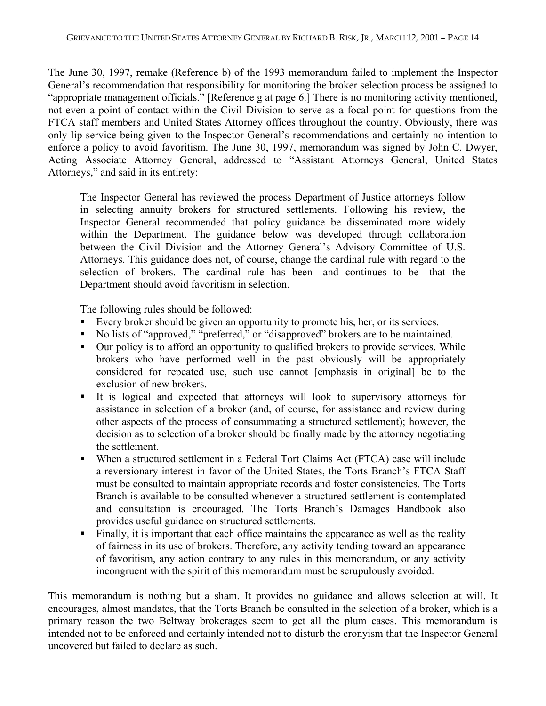The June 30, 1997, remake (Reference b) of the 1993 memorandum failed to implement the Inspector General's recommendation that responsibility for monitoring the broker selection process be assigned to "appropriate management officials." [Reference g at page 6.] There is no monitoring activity mentioned, not even a point of contact within the Civil Division to serve as a focal point for questions from the FTCA staff members and United States Attorney offices throughout the country. Obviously, there was only lip service being given to the Inspector General's recommendations and certainly no intention to enforce a policy to avoid favoritism. The June 30, 1997, memorandum was signed by John C. Dwyer, Acting Associate Attorney General, addressed to "Assistant Attorneys General, United States Attorneys," and said in its entirety:

The Inspector General has reviewed the process Department of Justice attorneys follow in selecting annuity brokers for structured settlements. Following his review, the Inspector General recommended that policy guidance be disseminated more widely within the Department. The guidance below was developed through collaboration between the Civil Division and the Attorney General's Advisory Committee of U.S. Attorneys. This guidance does not, of course, change the cardinal rule with regard to the selection of brokers. The cardinal rule has been—and continues to be—that the Department should avoid favoritism in selection.

The following rules should be followed:

- Every broker should be given an opportunity to promote his, her, or its services.
- No lists of "approved," "preferred," or "disapproved" brokers are to be maintained.
- Our policy is to afford an opportunity to qualified brokers to provide services. While brokers who have performed well in the past obviously will be appropriately considered for repeated use, such use cannot [emphasis in original] be to the exclusion of new brokers.
- It is logical and expected that attorneys will look to supervisory attorneys for assistance in selection of a broker (and, of course, for assistance and review during other aspects of the process of consummating a structured settlement); however, the decision as to selection of a broker should be finally made by the attorney negotiating the settlement.
- When a structured settlement in a Federal Tort Claims Act (FTCA) case will include a reversionary interest in favor of the United States, the Torts Branch's FTCA Staff must be consulted to maintain appropriate records and foster consistencies. The Torts Branch is available to be consulted whenever a structured settlement is contemplated and consultation is encouraged. The Torts Branch's Damages Handbook also provides useful guidance on structured settlements.
- Finally, it is important that each office maintains the appearance as well as the reality of fairness in its use of brokers. Therefore, any activity tending toward an appearance of favoritism, any action contrary to any rules in this memorandum, or any activity incongruent with the spirit of this memorandum must be scrupulously avoided.

This memorandum is nothing but a sham. It provides no guidance and allows selection at will. It encourages, almost mandates, that the Torts Branch be consulted in the selection of a broker, which is a primary reason the two Beltway brokerages seem to get all the plum cases. This memorandum is intended not to be enforced and certainly intended not to disturb the cronyism that the Inspector General uncovered but failed to declare as such.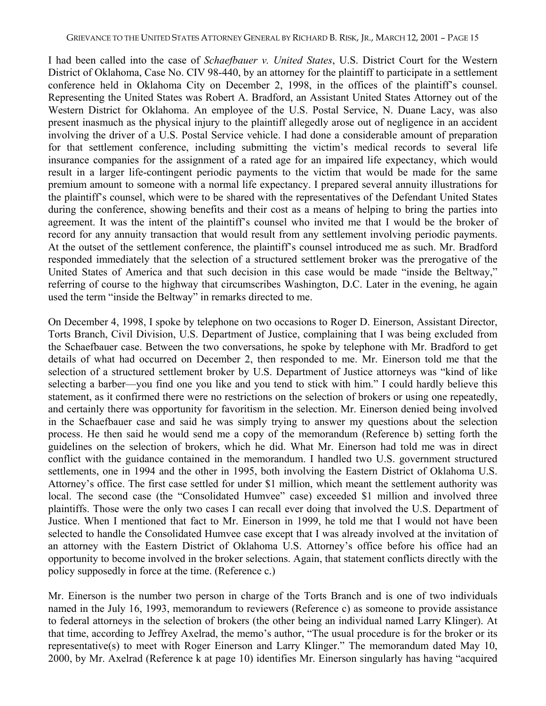I had been called into the case of *Schaefbauer v. United States*, U.S. District Court for the Western District of Oklahoma, Case No. CIV 98-440, by an attorney for the plaintiff to participate in a settlement conference held in Oklahoma City on December 2, 1998, in the offices of the plaintiff's counsel. Representing the United States was Robert A. Bradford, an Assistant United States Attorney out of the Western District for Oklahoma. An employee of the U.S. Postal Service, N. Duane Lacy, was also present inasmuch as the physical injury to the plaintiff allegedly arose out of negligence in an accident involving the driver of a U.S. Postal Service vehicle. I had done a considerable amount of preparation for that settlement conference, including submitting the victim's medical records to several life insurance companies for the assignment of a rated age for an impaired life expectancy, which would result in a larger life-contingent periodic payments to the victim that would be made for the same premium amount to someone with a normal life expectancy. I prepared several annuity illustrations for the plaintiff's counsel, which were to be shared with the representatives of the Defendant United States during the conference, showing benefits and their cost as a means of helping to bring the parties into agreement. It was the intent of the plaintiff's counsel who invited me that I would be the broker of record for any annuity transaction that would result from any settlement involving periodic payments. At the outset of the settlement conference, the plaintiff's counsel introduced me as such. Mr. Bradford responded immediately that the selection of a structured settlement broker was the prerogative of the United States of America and that such decision in this case would be made "inside the Beltway," referring of course to the highway that circumscribes Washington, D.C. Later in the evening, he again used the term "inside the Beltway" in remarks directed to me.

On December 4, 1998, I spoke by telephone on two occasions to Roger D. Einerson, Assistant Director, Torts Branch, Civil Division, U.S. Department of Justice, complaining that I was being excluded from the Schaefbauer case. Between the two conversations, he spoke by telephone with Mr. Bradford to get details of what had occurred on December 2, then responded to me. Mr. Einerson told me that the selection of a structured settlement broker by U.S. Department of Justice attorneys was "kind of like selecting a barber—you find one you like and you tend to stick with him." I could hardly believe this statement, as it confirmed there were no restrictions on the selection of brokers or using one repeatedly, and certainly there was opportunity for favoritism in the selection. Mr. Einerson denied being involved in the Schaefbauer case and said he was simply trying to answer my questions about the selection process. He then said he would send me a copy of the memorandum (Reference b) setting forth the guidelines on the selection of brokers, which he did. What Mr. Einerson had told me was in direct conflict with the guidance contained in the memorandum. I handled two U.S. government structured settlements, one in 1994 and the other in 1995, both involving the Eastern District of Oklahoma U.S. Attorney's office. The first case settled for under \$1 million, which meant the settlement authority was local. The second case (the "Consolidated Humvee" case) exceeded \$1 million and involved three plaintiffs. Those were the only two cases I can recall ever doing that involved the U.S. Department of Justice. When I mentioned that fact to Mr. Einerson in 1999, he told me that I would not have been selected to handle the Consolidated Humvee case except that I was already involved at the invitation of an attorney with the Eastern District of Oklahoma U.S. Attorney's office before his office had an opportunity to become involved in the broker selections. Again, that statement conflicts directly with the policy supposedly in force at the time. (Reference c.)

Mr. Einerson is the number two person in charge of the Torts Branch and is one of two individuals named in the July 16, 1993, memorandum to reviewers (Reference c) as someone to provide assistance to federal attorneys in the selection of brokers (the other being an individual named Larry Klinger). At that time, according to Jeffrey Axelrad, the memo's author, "The usual procedure is for the broker or its representative(s) to meet with Roger Einerson and Larry Klinger." The memorandum dated May 10, 2000, by Mr. Axelrad (Reference k at page 10) identifies Mr. Einerson singularly has having "acquired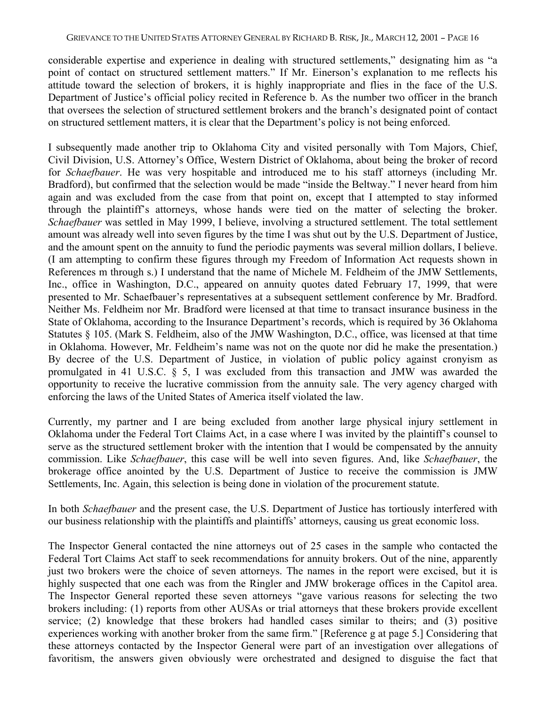considerable expertise and experience in dealing with structured settlements," designating him as "a point of contact on structured settlement matters." If Mr. Einerson's explanation to me reflects his attitude toward the selection of brokers, it is highly inappropriate and flies in the face of the U.S. Department of Justice's official policy recited in Reference b. As the number two officer in the branch that oversees the selection of structured settlement brokers and the branch's designated point of contact on structured settlement matters, it is clear that the Department's policy is not being enforced.

I subsequently made another trip to Oklahoma City and visited personally with Tom Majors, Chief, Civil Division, U.S. Attorney's Office, Western District of Oklahoma, about being the broker of record for *Schaefbauer*. He was very hospitable and introduced me to his staff attorneys (including Mr. Bradford), but confirmed that the selection would be made "inside the Beltway." I never heard from him again and was excluded from the case from that point on, except that I attempted to stay informed through the plaintiff's attorneys, whose hands were tied on the matter of selecting the broker. *Schaefbauer* was settled in May 1999, I believe, involving a structured settlement. The total settlement amount was already well into seven figures by the time I was shut out by the U.S. Department of Justice, and the amount spent on the annuity to fund the periodic payments was several million dollars, I believe. (I am attempting to confirm these figures through my Freedom of Information Act requests shown in References m through s.) I understand that the name of Michele M. Feldheim of the JMW Settlements, Inc., office in Washington, D.C., appeared on annuity quotes dated February 17, 1999, that were presented to Mr. Schaefbauer's representatives at a subsequent settlement conference by Mr. Bradford. Neither Ms. Feldheim nor Mr. Bradford were licensed at that time to transact insurance business in the State of Oklahoma, according to the Insurance Department's records, which is required by 36 Oklahoma Statutes § 105. (Mark S. Feldheim, also of the JMW Washington, D.C., office, was licensed at that time in Oklahoma. However, Mr. Feldheim's name was not on the quote nor did he make the presentation.) By decree of the U.S. Department of Justice, in violation of public policy against cronyism as promulgated in 41 U.S.C. § 5, I was excluded from this transaction and JMW was awarded the opportunity to receive the lucrative commission from the annuity sale. The very agency charged with enforcing the laws of the United States of America itself violated the law.

Currently, my partner and I are being excluded from another large physical injury settlement in Oklahoma under the Federal Tort Claims Act, in a case where I was invited by the plaintiff's counsel to serve as the structured settlement broker with the intention that I would be compensated by the annuity commission. Like *Schaefbauer*, this case will be well into seven figures. And, like *Schaefbauer*, the brokerage office anointed by the U.S. Department of Justice to receive the commission is JMW Settlements, Inc. Again, this selection is being done in violation of the procurement statute.

In both *Schaefbauer* and the present case, the U.S. Department of Justice has tortiously interfered with our business relationship with the plaintiffs and plaintiffs' attorneys, causing us great economic loss.

The Inspector General contacted the nine attorneys out of 25 cases in the sample who contacted the Federal Tort Claims Act staff to seek recommendations for annuity brokers. Out of the nine, apparently just two brokers were the choice of seven attorneys. The names in the report were excised, but it is highly suspected that one each was from the Ringler and JMW brokerage offices in the Capitol area. The Inspector General reported these seven attorneys "gave various reasons for selecting the two brokers including: (1) reports from other AUSAs or trial attorneys that these brokers provide excellent service; (2) knowledge that these brokers had handled cases similar to theirs; and (3) positive experiences working with another broker from the same firm." [Reference g at page 5.] Considering that these attorneys contacted by the Inspector General were part of an investigation over allegations of favoritism, the answers given obviously were orchestrated and designed to disguise the fact that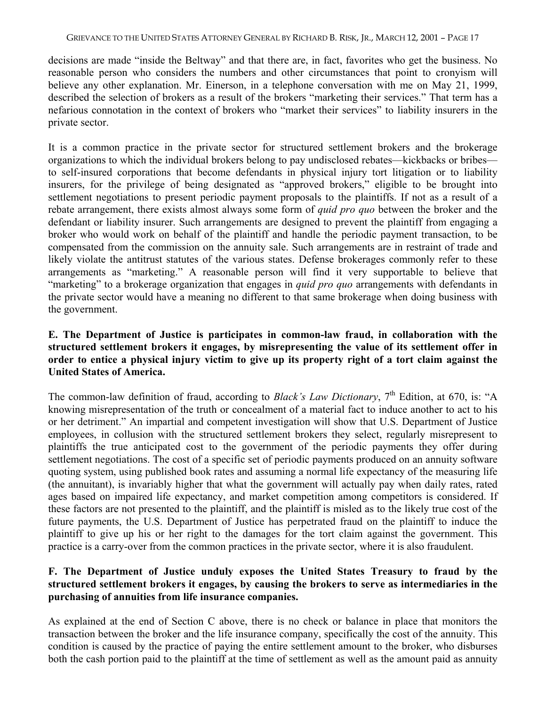decisions are made "inside the Beltway" and that there are, in fact, favorites who get the business. No reasonable person who considers the numbers and other circumstances that point to cronyism will believe any other explanation. Mr. Einerson, in a telephone conversation with me on May 21, 1999, described the selection of brokers as a result of the brokers "marketing their services." That term has a nefarious connotation in the context of brokers who "market their services" to liability insurers in the private sector.

It is a common practice in the private sector for structured settlement brokers and the brokerage organizations to which the individual brokers belong to pay undisclosed rebates—kickbacks or bribes to self-insured corporations that become defendants in physical injury tort litigation or to liability insurers, for the privilege of being designated as "approved brokers," eligible to be brought into settlement negotiations to present periodic payment proposals to the plaintiffs. If not as a result of a rebate arrangement, there exists almost always some form of *quid pro quo* between the broker and the defendant or liability insurer. Such arrangements are designed to prevent the plaintiff from engaging a broker who would work on behalf of the plaintiff and handle the periodic payment transaction, to be compensated from the commission on the annuity sale. Such arrangements are in restraint of trade and likely violate the antitrust statutes of the various states. Defense brokerages commonly refer to these arrangements as "marketing." A reasonable person will find it very supportable to believe that "marketing" to a brokerage organization that engages in *quid pro quo* arrangements with defendants in the private sector would have a meaning no different to that same brokerage when doing business with the government.

### **E. The Department of Justice is participates in common-law fraud, in collaboration with the structured settlement brokers it engages, by misrepresenting the value of its settlement offer in order to entice a physical injury victim to give up its property right of a tort claim against the United States of America.**

The common-law definition of fraud, according to *Black's Law Dictionary*, 7<sup>th</sup> Edition, at 670, is: "A knowing misrepresentation of the truth or concealment of a material fact to induce another to act to his or her detriment." An impartial and competent investigation will show that U.S. Department of Justice employees, in collusion with the structured settlement brokers they select, regularly misrepresent to plaintiffs the true anticipated cost to the government of the periodic payments they offer during settlement negotiations. The cost of a specific set of periodic payments produced on an annuity software quoting system, using published book rates and assuming a normal life expectancy of the measuring life (the annuitant), is invariably higher that what the government will actually pay when daily rates, rated ages based on impaired life expectancy, and market competition among competitors is considered. If these factors are not presented to the plaintiff, and the plaintiff is misled as to the likely true cost of the future payments, the U.S. Department of Justice has perpetrated fraud on the plaintiff to induce the plaintiff to give up his or her right to the damages for the tort claim against the government. This practice is a carry-over from the common practices in the private sector, where it is also fraudulent.

# **F. The Department of Justice unduly exposes the United States Treasury to fraud by the structured settlement brokers it engages, by causing the brokers to serve as intermediaries in the purchasing of annuities from life insurance companies.**

As explained at the end of Section C above, there is no check or balance in place that monitors the transaction between the broker and the life insurance company, specifically the cost of the annuity. This condition is caused by the practice of paying the entire settlement amount to the broker, who disburses both the cash portion paid to the plaintiff at the time of settlement as well as the amount paid as annuity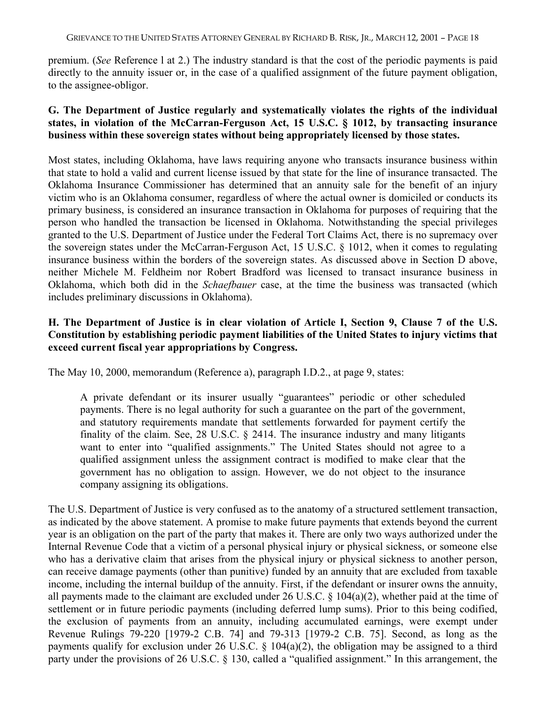premium. (*See* Reference l at 2.) The industry standard is that the cost of the periodic payments is paid directly to the annuity issuer or, in the case of a qualified assignment of the future payment obligation, to the assignee-obligor.

## **G. The Department of Justice regularly and systematically violates the rights of the individual states, in violation of the McCarran-Ferguson Act, 15 U.S.C. § 1012, by transacting insurance business within these sovereign states without being appropriately licensed by those states.**

Most states, including Oklahoma, have laws requiring anyone who transacts insurance business within that state to hold a valid and current license issued by that state for the line of insurance transacted. The Oklahoma Insurance Commissioner has determined that an annuity sale for the benefit of an injury victim who is an Oklahoma consumer, regardless of where the actual owner is domiciled or conducts its primary business, is considered an insurance transaction in Oklahoma for purposes of requiring that the person who handled the transaction be licensed in Oklahoma. Notwithstanding the special privileges granted to the U.S. Department of Justice under the Federal Tort Claims Act, there is no supremacy over the sovereign states under the McCarran-Ferguson Act, 15 U.S.C. § 1012, when it comes to regulating insurance business within the borders of the sovereign states. As discussed above in Section D above, neither Michele M. Feldheim nor Robert Bradford was licensed to transact insurance business in Oklahoma, which both did in the *Schaefbauer* case, at the time the business was transacted (which includes preliminary discussions in Oklahoma).

# **H. The Department of Justice is in clear violation of Article I, Section 9, Clause 7 of the U.S. Constitution by establishing periodic payment liabilities of the United States to injury victims that exceed current fiscal year appropriations by Congress.**

The May 10, 2000, memorandum (Reference a), paragraph I.D.2., at page 9, states:

A private defendant or its insurer usually "guarantees" periodic or other scheduled payments. There is no legal authority for such a guarantee on the part of the government, and statutory requirements mandate that settlements forwarded for payment certify the finality of the claim. See, 28 U.S.C. § 2414. The insurance industry and many litigants want to enter into "qualified assignments." The United States should not agree to a qualified assignment unless the assignment contract is modified to make clear that the government has no obligation to assign. However, we do not object to the insurance company assigning its obligations.

The U.S. Department of Justice is very confused as to the anatomy of a structured settlement transaction, as indicated by the above statement. A promise to make future payments that extends beyond the current year is an obligation on the part of the party that makes it. There are only two ways authorized under the Internal Revenue Code that a victim of a personal physical injury or physical sickness, or someone else who has a derivative claim that arises from the physical injury or physical sickness to another person, can receive damage payments (other than punitive) funded by an annuity that are excluded from taxable income, including the internal buildup of the annuity. First, if the defendant or insurer owns the annuity, all payments made to the claimant are excluded under 26 U.S.C. § 104(a)(2), whether paid at the time of settlement or in future periodic payments (including deferred lump sums). Prior to this being codified, the exclusion of payments from an annuity, including accumulated earnings, were exempt under Revenue Rulings 79-220 [1979-2 C.B. 74] and 79-313 [1979-2 C.B. 75]. Second, as long as the payments qualify for exclusion under 26 U.S.C. § 104(a)(2), the obligation may be assigned to a third party under the provisions of 26 U.S.C. § 130, called a "qualified assignment." In this arrangement, the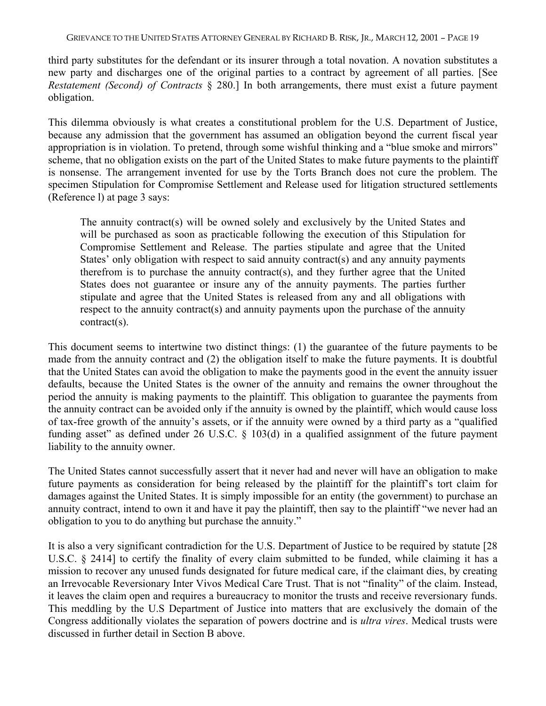third party substitutes for the defendant or its insurer through a total novation. A novation substitutes a new party and discharges one of the original parties to a contract by agreement of all parties. [See *Restatement (Second) of Contracts* § 280.] In both arrangements, there must exist a future payment obligation.

This dilemma obviously is what creates a constitutional problem for the U.S. Department of Justice, because any admission that the government has assumed an obligation beyond the current fiscal year appropriation is in violation. To pretend, through some wishful thinking and a "blue smoke and mirrors" scheme, that no obligation exists on the part of the United States to make future payments to the plaintiff is nonsense. The arrangement invented for use by the Torts Branch does not cure the problem. The specimen Stipulation for Compromise Settlement and Release used for litigation structured settlements (Reference l) at page 3 says:

The annuity contract(s) will be owned solely and exclusively by the United States and will be purchased as soon as practicable following the execution of this Stipulation for Compromise Settlement and Release. The parties stipulate and agree that the United States' only obligation with respect to said annuity contract(s) and any annuity payments therefrom is to purchase the annuity contract(s), and they further agree that the United States does not guarantee or insure any of the annuity payments. The parties further stipulate and agree that the United States is released from any and all obligations with respect to the annuity contract(s) and annuity payments upon the purchase of the annuity contract(s).

This document seems to intertwine two distinct things: (1) the guarantee of the future payments to be made from the annuity contract and (2) the obligation itself to make the future payments. It is doubtful that the United States can avoid the obligation to make the payments good in the event the annuity issuer defaults, because the United States is the owner of the annuity and remains the owner throughout the period the annuity is making payments to the plaintiff. This obligation to guarantee the payments from the annuity contract can be avoided only if the annuity is owned by the plaintiff, which would cause loss of tax-free growth of the annuity's assets, or if the annuity were owned by a third party as a "qualified funding asset" as defined under 26 U.S.C. § 103(d) in a qualified assignment of the future payment liability to the annuity owner.

The United States cannot successfully assert that it never had and never will have an obligation to make future payments as consideration for being released by the plaintiff for the plaintiff's tort claim for damages against the United States. It is simply impossible for an entity (the government) to purchase an annuity contract, intend to own it and have it pay the plaintiff, then say to the plaintiff "we never had an obligation to you to do anything but purchase the annuity."

It is also a very significant contradiction for the U.S. Department of Justice to be required by statute [28 U.S.C. § 2414] to certify the finality of every claim submitted to be funded, while claiming it has a mission to recover any unused funds designated for future medical care, if the claimant dies, by creating an Irrevocable Reversionary Inter Vivos Medical Care Trust. That is not "finality" of the claim. Instead, it leaves the claim open and requires a bureaucracy to monitor the trusts and receive reversionary funds. This meddling by the U.S Department of Justice into matters that are exclusively the domain of the Congress additionally violates the separation of powers doctrine and is *ultra vires*. Medical trusts were discussed in further detail in Section B above.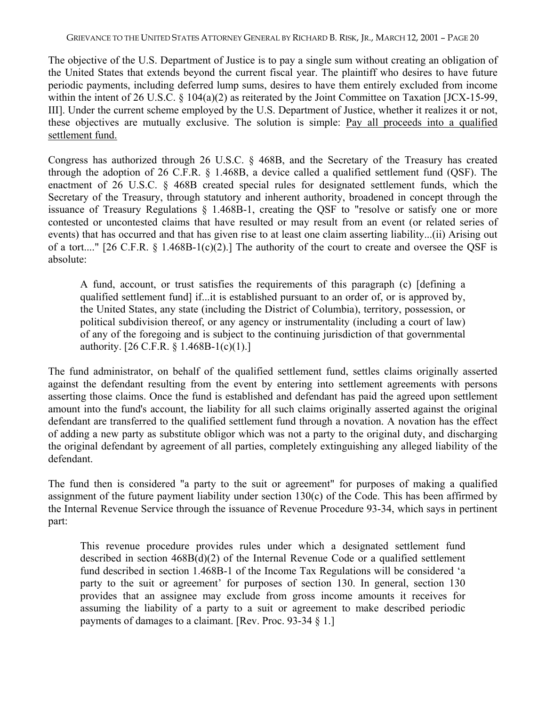The objective of the U.S. Department of Justice is to pay a single sum without creating an obligation of the United States that extends beyond the current fiscal year. The plaintiff who desires to have future periodic payments, including deferred lump sums, desires to have them entirely excluded from income within the intent of 26 U.S.C. § 104(a)(2) as reiterated by the Joint Committee on Taxation [JCX-15-99, III]. Under the current scheme employed by the U.S. Department of Justice, whether it realizes it or not, these objectives are mutually exclusive. The solution is simple: Pay all proceeds into a qualified settlement fund.

Congress has authorized through 26 U.S.C. § 468B, and the Secretary of the Treasury has created through the adoption of 26 C.F.R. § 1.468B, a device called a qualified settlement fund (QSF). The enactment of 26 U.S.C. § 468B created special rules for designated settlement funds, which the Secretary of the Treasury, through statutory and inherent authority, broadened in concept through the issuance of Treasury Regulations § 1.468B-1, creating the QSF to "resolve or satisfy one or more contested or uncontested claims that have resulted or may result from an event (or related series of events) that has occurred and that has given rise to at least one claim asserting liability...(ii) Arising out of a tort...." [26 C.F.R.  $\S$  1.468B-1(c)(2).] The authority of the court to create and oversee the QSF is absolute:

A fund, account, or trust satisfies the requirements of this paragraph (c) [defining a qualified settlement fund] if...it is established pursuant to an order of, or is approved by, the United States, any state (including the District of Columbia), territory, possession, or political subdivision thereof, or any agency or instrumentality (including a court of law) of any of the foregoing and is subject to the continuing jurisdiction of that governmental authority. [26 C.F.R. § 1.468B-1(c)(1).]

The fund administrator, on behalf of the qualified settlement fund, settles claims originally asserted against the defendant resulting from the event by entering into settlement agreements with persons asserting those claims. Once the fund is established and defendant has paid the agreed upon settlement amount into the fund's account, the liability for all such claims originally asserted against the original defendant are transferred to the qualified settlement fund through a novation. A novation has the effect of adding a new party as substitute obligor which was not a party to the original duty, and discharging the original defendant by agreement of all parties, completely extinguishing any alleged liability of the defendant.

The fund then is considered "a party to the suit or agreement" for purposes of making a qualified assignment of the future payment liability under section 130(c) of the Code. This has been affirmed by the Internal Revenue Service through the issuance of Revenue Procedure 93-34, which says in pertinent part:

This revenue procedure provides rules under which a designated settlement fund described in section 468B(d)(2) of the Internal Revenue Code or a qualified settlement fund described in section 1.468B-1 of the Income Tax Regulations will be considered 'a party to the suit or agreement' for purposes of section 130. In general, section 130 provides that an assignee may exclude from gross income amounts it receives for assuming the liability of a party to a suit or agreement to make described periodic payments of damages to a claimant. [Rev. Proc. 93-34 § 1.]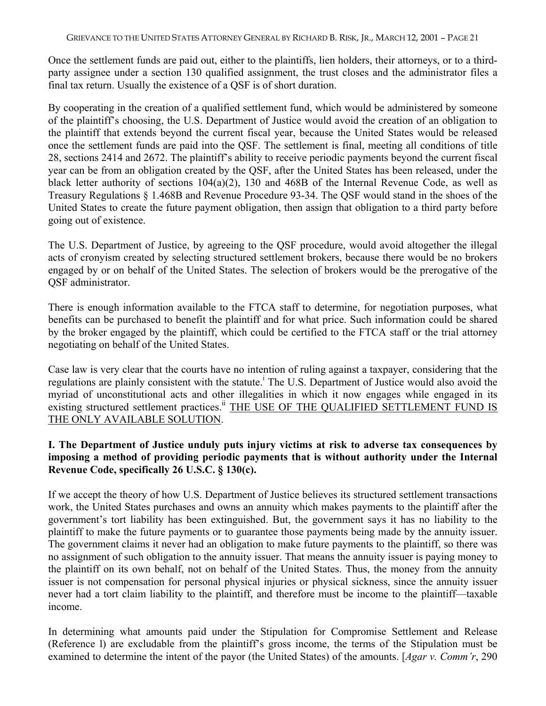Once the settlement funds are paid out, either to the plaintiffs, lien holders, their attorneys, or to a thirdparty assignee under a section 130 qualified assignment, the trust closes and the administrator files a final tax return. Usually the existence of a QSF is of short duration.

By cooperating in the creation of a qualified settlement fund, which would be administered by someone of the plaintiff's choosing, the U.S. Department of Justice would avoid the creation of an obligation to the plaintiff that extends beyond the current fiscal year, because the United States would be released once the settlement funds are paid into the QSF. The settlement is final, meeting all conditions of title 28, sections 2414 and 2672. The plaintiff's ability to receive periodic payments beyond the current fiscal year can be from an obligation created by the QSF, after the United States has been released, under the black letter authority of sections 104(a)(2), 130 and 468B of the Internal Revenue Code, as well as Treasury Regulations § 1.468B and Revenue Procedure 93-34. The QSF would stand in the shoes of the United States to create the future payment obligation, then assign that obligation to a third party before going out of existence.

The U.S. Department of Justice, by agreeing to the QSF procedure, would avoid altogether the illegal acts of cronyism created by selecting structured settlement brokers, because there would be no brokers engaged by or on behalf of the United States. The selection of brokers would be the prerogative of the QSF administrator.

There is enough information available to the FTCA staff to determine, for negotiation purposes, what benefits can be purchased to benefit the plaintiff and for what price. Such information could be shared by the broker engaged by the plaintiff, which could be certified to the FTCA staff or the trial attorney negotiating on behalf of the United States.

Case law is very clear that the courts have no intention of ruling against a taxpayer, considering that the regulations are plainly consistent with the statute.<sup>1</sup> The U.S. Department of Justice would also avoid the myriad of unconstitutional acts and other illegalities in which it now engages while engaged in its existing structured settlement practices.<sup>ii</sup> THE USE OF THE QUALIFIED SETTLEMENT FUND IS THE ONLY AVAILABLE SOLUTION.

# **I. The Department of Justice unduly puts injury victims at risk to adverse tax consequences by imposing a method of providing periodic payments that is without authority under the Internal Revenue Code, specifically 26 U.S.C. § 130(c).**

If we accept the theory of how U.S. Department of Justice believes its structured settlement transactions work, the United States purchases and owns an annuity which makes payments to the plaintiff after the government's tort liability has been extinguished. But, the government says it has no liability to the plaintiff to make the future payments or to guarantee those payments being made by the annuity issuer. The government claims it never had an obligation to make future payments to the plaintiff, so there was no assignment of such obligation to the annuity issuer. That means the annuity issuer is paying money to the plaintiff on its own behalf, not on behalf of the United States. Thus, the money from the annuity issuer is not compensation for personal physical injuries or physical sickness, since the annuity issuer never had a tort claim liability to the plaintiff, and therefore must be income to the plaintiff—taxable income.

In determining what amounts paid under the Stipulation for Compromise Settlement and Release (Reference l) are excludable from the plaintiff's gross income, the terms of the Stipulation must be examined to determine the intent of the payor (the United States) of the amounts. [*Agar v. Comm'r*, 290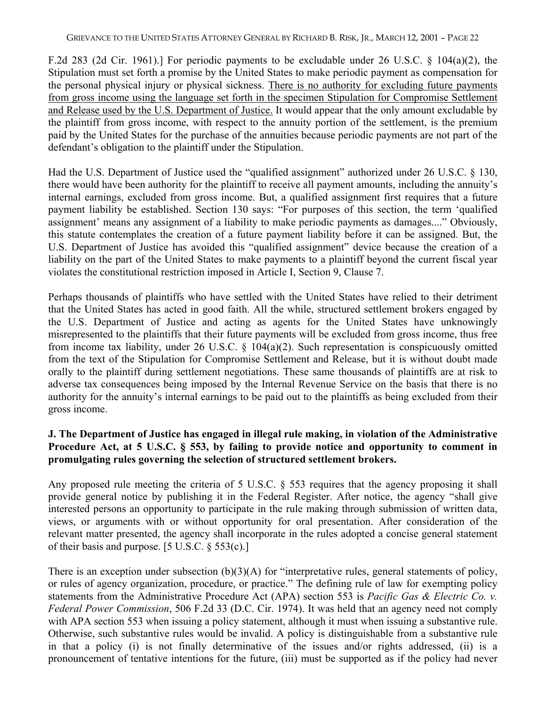F.2d 283 (2d Cir. 1961).] For periodic payments to be excludable under 26 U.S.C. § 104(a)(2), the Stipulation must set forth a promise by the United States to make periodic payment as compensation for the personal physical injury or physical sickness. There is no authority for excluding future payments from gross income using the language set forth in the specimen Stipulation for Compromise Settlement and Release used by the U.S. Department of Justice. It would appear that the only amount excludable by the plaintiff from gross income, with respect to the annuity portion of the settlement, is the premium paid by the United States for the purchase of the annuities because periodic payments are not part of the defendant's obligation to the plaintiff under the Stipulation.

Had the U.S. Department of Justice used the "qualified assignment" authorized under 26 U.S.C. § 130, there would have been authority for the plaintiff to receive all payment amounts, including the annuity's internal earnings, excluded from gross income. But, a qualified assignment first requires that a future payment liability be established. Section 130 says: "For purposes of this section, the term 'qualified assignment' means any assignment of a liability to make periodic payments as damages...." Obviously, this statute contemplates the creation of a future payment liability before it can be assigned. But, the U.S. Department of Justice has avoided this "qualified assignment" device because the creation of a liability on the part of the United States to make payments to a plaintiff beyond the current fiscal year violates the constitutional restriction imposed in Article I, Section 9, Clause 7.

Perhaps thousands of plaintiffs who have settled with the United States have relied to their detriment that the United States has acted in good faith. All the while, structured settlement brokers engaged by the U.S. Department of Justice and acting as agents for the United States have unknowingly misrepresented to the plaintiffs that their future payments will be excluded from gross income, thus free from income tax liability, under 26 U.S.C. § 104(a)(2). Such representation is conspicuously omitted from the text of the Stipulation for Compromise Settlement and Release, but it is without doubt made orally to the plaintiff during settlement negotiations. These same thousands of plaintiffs are at risk to adverse tax consequences being imposed by the Internal Revenue Service on the basis that there is no authority for the annuity's internal earnings to be paid out to the plaintiffs as being excluded from their gross income.

## **J. The Department of Justice has engaged in illegal rule making, in violation of the Administrative Procedure Act, at 5 U.S.C. § 553, by failing to provide notice and opportunity to comment in promulgating rules governing the selection of structured settlement brokers.**

Any proposed rule meeting the criteria of 5 U.S.C. § 553 requires that the agency proposing it shall provide general notice by publishing it in the Federal Register. After notice, the agency "shall give interested persons an opportunity to participate in the rule making through submission of written data, views, or arguments with or without opportunity for oral presentation. After consideration of the relevant matter presented, the agency shall incorporate in the rules adopted a concise general statement of their basis and purpose. [5 U.S.C. § 553(c).]

There is an exception under subsection (b)(3)(A) for "interpretative rules, general statements of policy, or rules of agency organization, procedure, or practice." The defining rule of law for exempting policy statements from the Administrative Procedure Act (APA) section 553 is *Pacific Gas & Electric Co. v. Federal Power Commission*, 506 F.2d 33 (D.C. Cir. 1974). It was held that an agency need not comply with APA section 553 when issuing a policy statement, although it must when issuing a substantive rule. Otherwise, such substantive rules would be invalid. A policy is distinguishable from a substantive rule in that a policy (i) is not finally determinative of the issues and/or rights addressed, (ii) is a pronouncement of tentative intentions for the future, (iii) must be supported as if the policy had never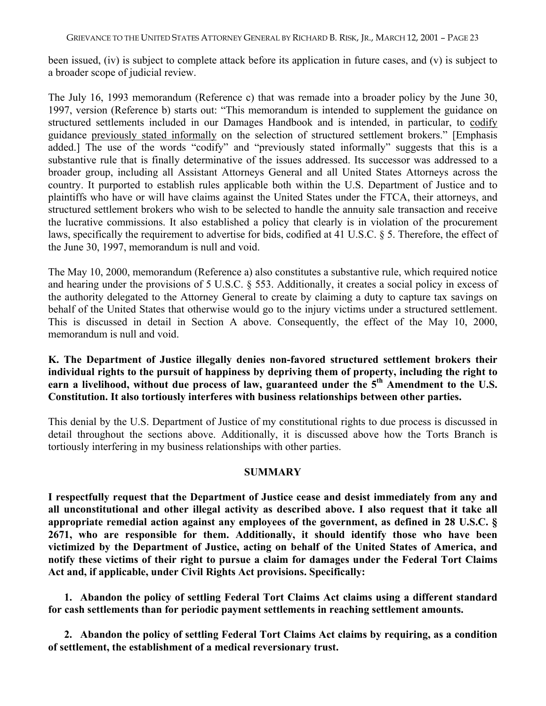been issued, (iv) is subject to complete attack before its application in future cases, and (v) is subject to a broader scope of judicial review.

The July 16, 1993 memorandum (Reference c) that was remade into a broader policy by the June 30, 1997, version (Reference b) starts out: "This memorandum is intended to supplement the guidance on structured settlements included in our Damages Handbook and is intended, in particular, to codify guidance previously stated informally on the selection of structured settlement brokers." [Emphasis added.] The use of the words "codify" and "previously stated informally" suggests that this is a substantive rule that is finally determinative of the issues addressed. Its successor was addressed to a broader group, including all Assistant Attorneys General and all United States Attorneys across the country. It purported to establish rules applicable both within the U.S. Department of Justice and to plaintiffs who have or will have claims against the United States under the FTCA, their attorneys, and structured settlement brokers who wish to be selected to handle the annuity sale transaction and receive the lucrative commissions. It also established a policy that clearly is in violation of the procurement laws, specifically the requirement to advertise for bids, codified at 41 U.S.C. § 5. Therefore, the effect of the June 30, 1997, memorandum is null and void.

The May 10, 2000, memorandum (Reference a) also constitutes a substantive rule, which required notice and hearing under the provisions of 5 U.S.C. § 553. Additionally, it creates a social policy in excess of the authority delegated to the Attorney General to create by claiming a duty to capture tax savings on behalf of the United States that otherwise would go to the injury victims under a structured settlement. This is discussed in detail in Section A above. Consequently, the effect of the May 10, 2000, memorandum is null and void.

#### **K. The Department of Justice illegally denies non-favored structured settlement brokers their individual rights to the pursuit of happiness by depriving them of property, including the right to** earn a livelihood, without due process of law, guaranteed under the 5<sup>th</sup> Amendment to the U.S. **Constitution. It also tortiously interferes with business relationships between other parties.**

This denial by the U.S. Department of Justice of my constitutional rights to due process is discussed in detail throughout the sections above. Additionally, it is discussed above how the Torts Branch is tortiously interfering in my business relationships with other parties.

#### **SUMMARY**

**I respectfully request that the Department of Justice cease and desist immediately from any and all unconstitutional and other illegal activity as described above. I also request that it take all appropriate remedial action against any employees of the government, as defined in 28 U.S.C. § 2671, who are responsible for them. Additionally, it should identify those who have been victimized by the Department of Justice, acting on behalf of the United States of America, and notify these victims of their right to pursue a claim for damages under the Federal Tort Claims Act and, if applicable, under Civil Rights Act provisions. Specifically:**

**1. Abandon the policy of settling Federal Tort Claims Act claims using a different standard for cash settlements than for periodic payment settlements in reaching settlement amounts.**

**2. Abandon the policy of settling Federal Tort Claims Act claims by requiring, as a condition of settlement, the establishment of a medical reversionary trust.**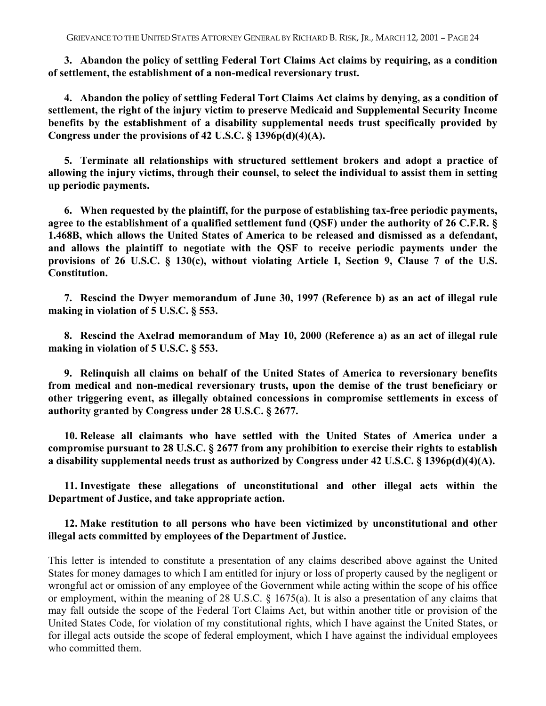**3. Abandon the policy of settling Federal Tort Claims Act claims by requiring, as a condition of settlement, the establishment of a non-medical reversionary trust.**

**4. Abandon the policy of settling Federal Tort Claims Act claims by denying, as a condition of settlement, the right of the injury victim to preserve Medicaid and Supplemental Security Income benefits by the establishment of a disability supplemental needs trust specifically provided by Congress under the provisions of 42 U.S.C. § 1396p(d)(4)(A).**

**5. Terminate all relationships with structured settlement brokers and adopt a practice of allowing the injury victims, through their counsel, to select the individual to assist them in setting up periodic payments.**

**6. When requested by the plaintiff, for the purpose of establishing tax-free periodic payments, agree to the establishment of a qualified settlement fund (QSF) under the authority of 26 C.F.R. § 1.468B, which allows the United States of America to be released and dismissed as a defendant, and allows the plaintiff to negotiate with the QSF to receive periodic payments under the provisions of 26 U.S.C. § 130(c), without violating Article I, Section 9, Clause 7 of the U.S. Constitution.**

**7. Rescind the Dwyer memorandum of June 30, 1997 (Reference b) as an act of illegal rule making in violation of 5 U.S.C. § 553.**

**8. Rescind the Axelrad memorandum of May 10, 2000 (Reference a) as an act of illegal rule making in violation of 5 U.S.C. § 553.**

**9. Relinquish all claims on behalf of the United States of America to reversionary benefits from medical and non-medical reversionary trusts, upon the demise of the trust beneficiary or other triggering event, as illegally obtained concessions in compromise settlements in excess of authority granted by Congress under 28 U.S.C. § 2677.**

**10. Release all claimants who have settled with the United States of America under a compromise pursuant to 28 U.S.C. § 2677 from any prohibition to exercise their rights to establish a disability supplemental needs trust as authorized by Congress under 42 U.S.C. § 1396p(d)(4)(A).**

**11. Investigate these allegations of unconstitutional and other illegal acts within the Department of Justice, and take appropriate action.**

#### **12. Make restitution to all persons who have been victimized by unconstitutional and other illegal acts committed by employees of the Department of Justice.**

This letter is intended to constitute a presentation of any claims described above against the United States for money damages to which I am entitled for injury or loss of property caused by the negligent or wrongful act or omission of any employee of the Government while acting within the scope of his office or employment, within the meaning of 28 U.S.C. § 1675(a). It is also a presentation of any claims that may fall outside the scope of the Federal Tort Claims Act, but within another title or provision of the United States Code, for violation of my constitutional rights, which I have against the United States, or for illegal acts outside the scope of federal employment, which I have against the individual employees who committed them.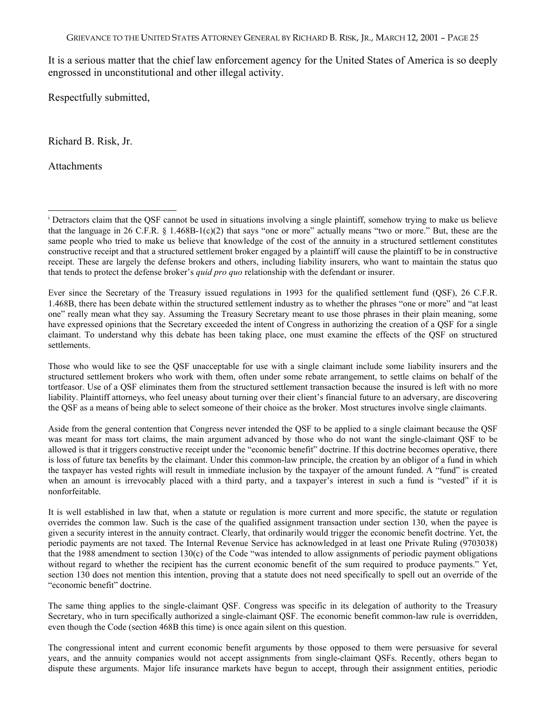It is a serious matter that the chief law enforcement agency for the United States of America is so deeply engrossed in unconstitutional and other illegal activity.

Respectfully submitted,

Richard B. Risk, Jr.

Attachments

 $\overline{a}$ 

Ever since the Secretary of the Treasury issued regulations in 1993 for the qualified settlement fund (QSF), 26 C.F.R. 1.468B, there has been debate within the structured settlement industry as to whether the phrases "one or more" and "at least one" really mean what they say. Assuming the Treasury Secretary meant to use those phrases in their plain meaning, some have expressed opinions that the Secretary exceeded the intent of Congress in authorizing the creation of a QSF for a single claimant. To understand why this debate has been taking place, one must examine the effects of the QSF on structured settlements.

Those who would like to see the QSF unacceptable for use with a single claimant include some liability insurers and the structured settlement brokers who work with them, often under some rebate arrangement, to settle claims on behalf of the tortfeasor. Use of a QSF eliminates them from the structured settlement transaction because the insured is left with no more liability. Plaintiff attorneys, who feel uneasy about turning over their client's financial future to an adversary, are discovering the QSF as a means of being able to select someone of their choice as the broker. Most structures involve single claimants.

Aside from the general contention that Congress never intended the QSF to be applied to a single claimant because the QSF was meant for mass tort claims, the main argument advanced by those who do not want the single-claimant QSF to be allowed is that it triggers constructive receipt under the "economic benefit" doctrine. If this doctrine becomes operative, there is loss of future tax benefits by the claimant. Under this common-law principle, the creation by an obligor of a fund in which the taxpayer has vested rights will result in immediate inclusion by the taxpayer of the amount funded. A "fund" is created when an amount is irrevocably placed with a third party, and a taxpayer's interest in such a fund is "vested" if it is nonforfeitable.

It is well established in law that, when a statute or regulation is more current and more specific, the statute or regulation overrides the common law. Such is the case of the qualified assignment transaction under section 130, when the payee is given a security interest in the annuity contract. Clearly, that ordinarily would trigger the economic benefit doctrine. Yet, the periodic payments are not taxed. The Internal Revenue Service has acknowledged in at least one Private Ruling (9703038) that the 1988 amendment to section 130(c) of the Code "was intended to allow assignments of periodic payment obligations without regard to whether the recipient has the current economic benefit of the sum required to produce payments." Yet, section 130 does not mention this intention, proving that a statute does not need specifically to spell out an override of the "economic benefit" doctrine.

The same thing applies to the single-claimant QSF. Congress was specific in its delegation of authority to the Treasury Secretary, who in turn specifically authorized a single-claimant QSF. The economic benefit common-law rule is overridden, even though the Code (section 468B this time) is once again silent on this question.

The congressional intent and current economic benefit arguments by those opposed to them were persuasive for several years, and the annuity companies would not accept assignments from single-claimant QSFs. Recently, others began to dispute these arguments. Major life insurance markets have begun to accept, through their assignment entities, periodic

<sup>&</sup>lt;sup>i</sup> Detractors claim that the QSF cannot be used in situations involving a single plaintiff, somehow trying to make us believe that the language in 26 C.F.R. § 1.468B-1(c)(2) that says "one or more" actually means "two or more." But, these are the same people who tried to make us believe that knowledge of the cost of the annuity in a structured settlement constitutes constructive receipt and that a structured settlement broker engaged by a plaintiff will cause the plaintiff to be in constructive receipt. These are largely the defense brokers and others, including liability insurers, who want to maintain the status quo that tends to protect the defense broker's *quid pro quo* relationship with the defendant or insurer.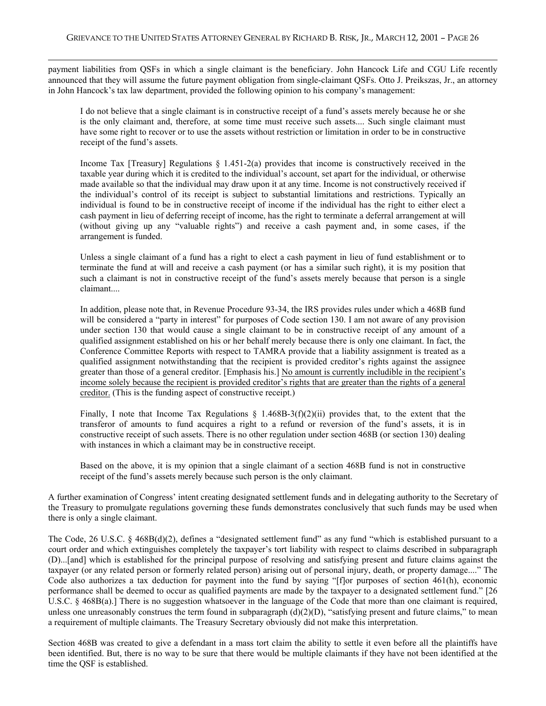-

payment liabilities from QSFs in which a single claimant is the beneficiary. John Hancock Life and CGU Life recently announced that they will assume the future payment obligation from single-claimant QSFs. Otto J. Preikszas, Jr., an attorney in John Hancock's tax law department, provided the following opinion to his company's management:

I do not believe that a single claimant is in constructive receipt of a fund's assets merely because he or she is the only claimant and, therefore, at some time must receive such assets.... Such single claimant must have some right to recover or to use the assets without restriction or limitation in order to be in constructive receipt of the fund's assets.

Income Tax [Treasury] Regulations § 1.451-2(a) provides that income is constructively received in the taxable year during which it is credited to the individual's account, set apart for the individual, or otherwise made available so that the individual may draw upon it at any time. Income is not constructively received if the individual's control of its receipt is subject to substantial limitations and restrictions. Typically an individual is found to be in constructive receipt of income if the individual has the right to either elect a cash payment in lieu of deferring receipt of income, has the right to terminate a deferral arrangement at will (without giving up any "valuable rights") and receive a cash payment and, in some cases, if the arrangement is funded.

Unless a single claimant of a fund has a right to elect a cash payment in lieu of fund establishment or to terminate the fund at will and receive a cash payment (or has a similar such right), it is my position that such a claimant is not in constructive receipt of the fund's assets merely because that person is a single claimant....

In addition, please note that, in Revenue Procedure 93-34, the IRS provides rules under which a 468B fund will be considered a "party in interest" for purposes of Code section 130. I am not aware of any provision under section 130 that would cause a single claimant to be in constructive receipt of any amount of a qualified assignment established on his or her behalf merely because there is only one claimant. In fact, the Conference Committee Reports with respect to TAMRA provide that a liability assignment is treated as a qualified assignment notwithstanding that the recipient is provided creditor's rights against the assignee greater than those of a general creditor. [Emphasis his.] No amount is currently includible in the recipient's income solely because the recipient is provided creditor's rights that are greater than the rights of a general creditor. (This is the funding aspect of constructive receipt.)

Finally, I note that Income Tax Regulations  $\S$  1.468B-3(f)(2)(ii) provides that, to the extent that the transferor of amounts to fund acquires a right to a refund or reversion of the fund's assets, it is in constructive receipt of such assets. There is no other regulation under section 468B (or section 130) dealing with instances in which a claimant may be in constructive receipt.

Based on the above, it is my opinion that a single claimant of a section 468B fund is not in constructive receipt of the fund's assets merely because such person is the only claimant.

A further examination of Congress' intent creating designated settlement funds and in delegating authority to the Secretary of the Treasury to promulgate regulations governing these funds demonstrates conclusively that such funds may be used when there is only a single claimant.

The Code, 26 U.S.C. § 468B(d)(2), defines a "designated settlement fund" as any fund "which is established pursuant to a court order and which extinguishes completely the taxpayer's tort liability with respect to claims described in subparagraph (D)...[and] which is established for the principal purpose of resolving and satisfying present and future claims against the taxpayer (or any related person or formerly related person) arising out of personal injury, death, or property damage...." The Code also authorizes a tax deduction for payment into the fund by saying "[f]or purposes of section 461(h), economic performance shall be deemed to occur as qualified payments are made by the taxpayer to a designated settlement fund." [26 U.S.C. § 468B(a).] There is no suggestion whatsoever in the language of the Code that more than one claimant is required, unless one unreasonably construes the term found in subparagraph  $(d)(2)(D)$ , "satisfying present and future claims," to mean a requirement of multiple claimants. The Treasury Secretary obviously did not make this interpretation.

Section 468B was created to give a defendant in a mass tort claim the ability to settle it even before all the plaintiffs have been identified. But, there is no way to be sure that there would be multiple claimants if they have not been identified at the time the QSF is established.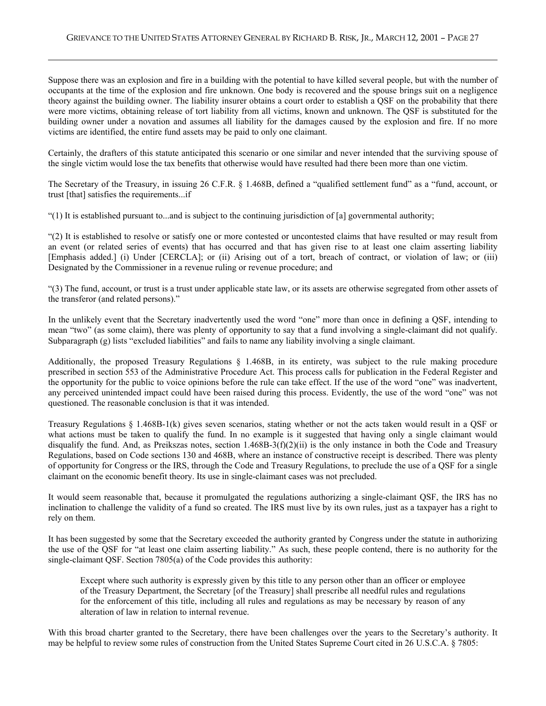Suppose there was an explosion and fire in a building with the potential to have killed several people, but with the number of occupants at the time of the explosion and fire unknown. One body is recovered and the spouse brings suit on a negligence theory against the building owner. The liability insurer obtains a court order to establish a QSF on the probability that there were more victims, obtaining release of tort liability from all victims, known and unknown. The QSF is substituted for the building owner under a novation and assumes all liability for the damages caused by the explosion and fire. If no more victims are identified, the entire fund assets may be paid to only one claimant.

Certainly, the drafters of this statute anticipated this scenario or one similar and never intended that the surviving spouse of the single victim would lose the tax benefits that otherwise would have resulted had there been more than one victim.

The Secretary of the Treasury, in issuing 26 C.F.R. § 1.468B, defined a "qualified settlement fund" as a "fund, account, or trust [that] satisfies the requirements...if

"(1) It is established pursuant to...and is subject to the continuing jurisdiction of [a] governmental authority;

-

"(2) It is established to resolve or satisfy one or more contested or uncontested claims that have resulted or may result from an event (or related series of events) that has occurred and that has given rise to at least one claim asserting liability [Emphasis added.] (i) Under [CERCLA]; or (ii) Arising out of a tort, breach of contract, or violation of law; or (iii) Designated by the Commissioner in a revenue ruling or revenue procedure; and

"(3) The fund, account, or trust is a trust under applicable state law, or its assets are otherwise segregated from other assets of the transferor (and related persons)."

In the unlikely event that the Secretary inadvertently used the word "one" more than once in defining a QSF, intending to mean "two" (as some claim), there was plenty of opportunity to say that a fund involving a single-claimant did not qualify. Subparagraph (g) lists "excluded liabilities" and fails to name any liability involving a single claimant.

Additionally, the proposed Treasury Regulations § 1.468B, in its entirety, was subject to the rule making procedure prescribed in section 553 of the Administrative Procedure Act. This process calls for publication in the Federal Register and the opportunity for the public to voice opinions before the rule can take effect. If the use of the word "one" was inadvertent, any perceived unintended impact could have been raised during this process. Evidently, the use of the word "one" was not questioned. The reasonable conclusion is that it was intended.

Treasury Regulations § 1.468B-1(k) gives seven scenarios, stating whether or not the acts taken would result in a QSF or what actions must be taken to qualify the fund. In no example is it suggested that having only a single claimant would disqualify the fund. And, as Preikszas notes, section 1.468B-3(f)(2)(ii) is the only instance in both the Code and Treasury Regulations, based on Code sections 130 and 468B, where an instance of constructive receipt is described. There was plenty of opportunity for Congress or the IRS, through the Code and Treasury Regulations, to preclude the use of a QSF for a single claimant on the economic benefit theory. Its use in single-claimant cases was not precluded.

It would seem reasonable that, because it promulgated the regulations authorizing a single-claimant QSF, the IRS has no inclination to challenge the validity of a fund so created. The IRS must live by its own rules, just as a taxpayer has a right to rely on them.

It has been suggested by some that the Secretary exceeded the authority granted by Congress under the statute in authorizing the use of the QSF for "at least one claim asserting liability." As such, these people contend, there is no authority for the single-claimant QSF. Section 7805(a) of the Code provides this authority:

Except where such authority is expressly given by this title to any person other than an officer or employee of the Treasury Department, the Secretary [of the Treasury] shall prescribe all needful rules and regulations for the enforcement of this title, including all rules and regulations as may be necessary by reason of any alteration of law in relation to internal revenue.

With this broad charter granted to the Secretary, there have been challenges over the years to the Secretary's authority. It may be helpful to review some rules of construction from the United States Supreme Court cited in 26 U.S.C.A. § 7805: